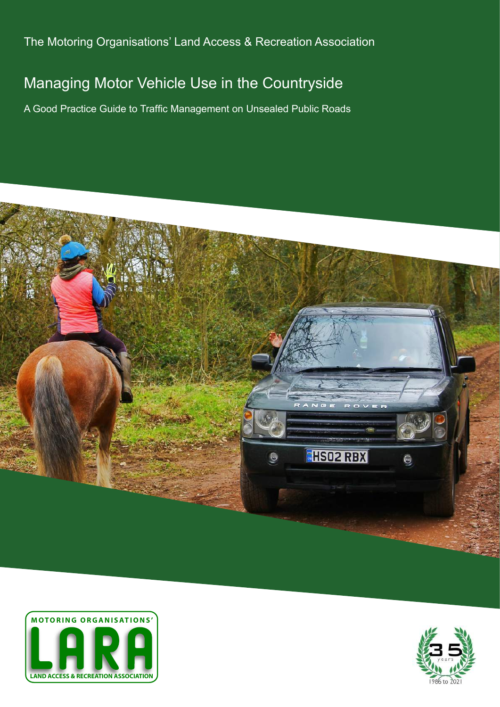The Motoring Organisations' Land Access & Recreation Association

# Managing Motor Vehicle Use in the Countryside

A Good Practice Guide to Traffic Management on Unsealed Public Roads





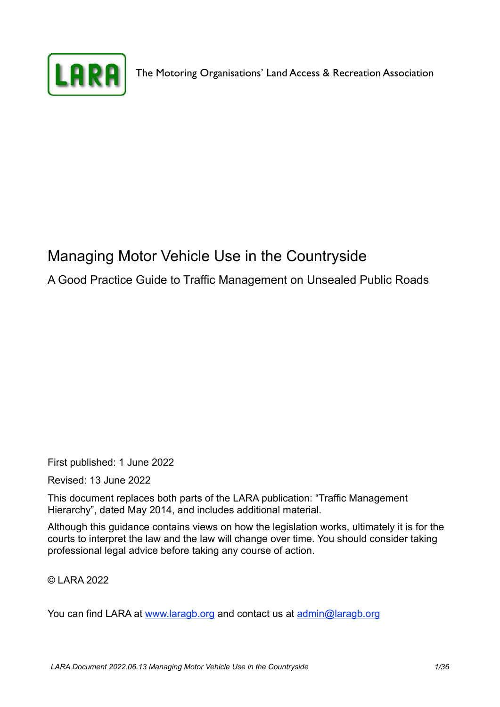

The Motoring Organisations' Land Access & Recreation Association

# Managing Motor Vehicle Use in the Countryside

A Good Practice Guide to Traffic Management on Unsealed Public Roads

First published: 1 June 2022

Revised: 13 June 2022

This document replaces both parts of the LARA publication: "Traffic Management Hierarchy", dated May 2014, and includes additional material.

Although this guidance contains views on how the legislation works, ultimately it is for the courts to interpret the law and the law will change over time. You should consider taking professional legal advice before taking any course of action.

© LARA 2022

You can find LARA at [www.laragb.org](http://www.laragb.org) and contact us at [admin@laragb.org](mailto:admin@laragb.org)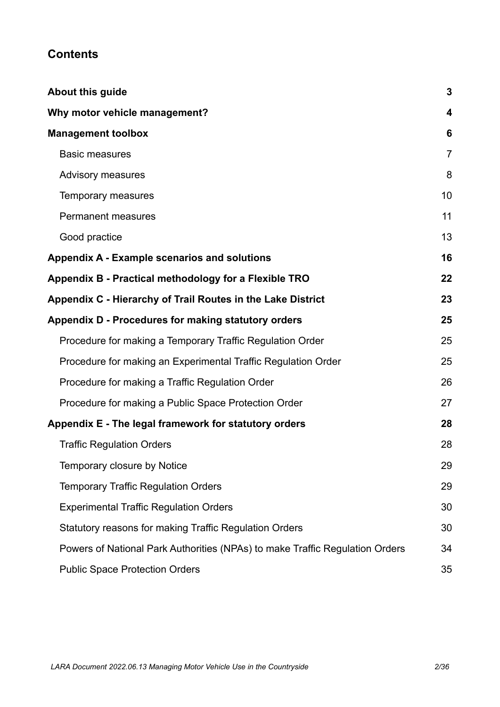## **Contents**

| About this guide                                                             | $\mathbf{3}$   |
|------------------------------------------------------------------------------|----------------|
| Why motor vehicle management?                                                | 4              |
| <b>Management toolbox</b>                                                    | 6              |
| <b>Basic measures</b>                                                        | $\overline{7}$ |
| <b>Advisory measures</b>                                                     | 8              |
| Temporary measures                                                           | 10             |
| <b>Permanent measures</b>                                                    | 11             |
| Good practice                                                                | 13             |
| Appendix A - Example scenarios and solutions                                 | 16             |
| Appendix B - Practical methodology for a Flexible TRO                        | 22             |
| Appendix C - Hierarchy of Trail Routes in the Lake District                  | 23             |
| Appendix D - Procedures for making statutory orders                          | 25             |
| Procedure for making a Temporary Traffic Regulation Order                    | 25             |
| Procedure for making an Experimental Traffic Regulation Order                | 25             |
| Procedure for making a Traffic Regulation Order                              | 26             |
| Procedure for making a Public Space Protection Order                         | 27             |
| Appendix E - The legal framework for statutory orders                        | 28             |
| <b>Traffic Regulation Orders</b>                                             | 28             |
| Temporary closure by Notice                                                  | 29             |
| <b>Temporary Traffic Regulation Orders</b>                                   | 29             |
| <b>Experimental Traffic Regulation Orders</b>                                | 30             |
| Statutory reasons for making Traffic Regulation Orders                       | 30             |
| Powers of National Park Authorities (NPAs) to make Traffic Regulation Orders | 34             |
| <b>Public Space Protection Orders</b>                                        | 35             |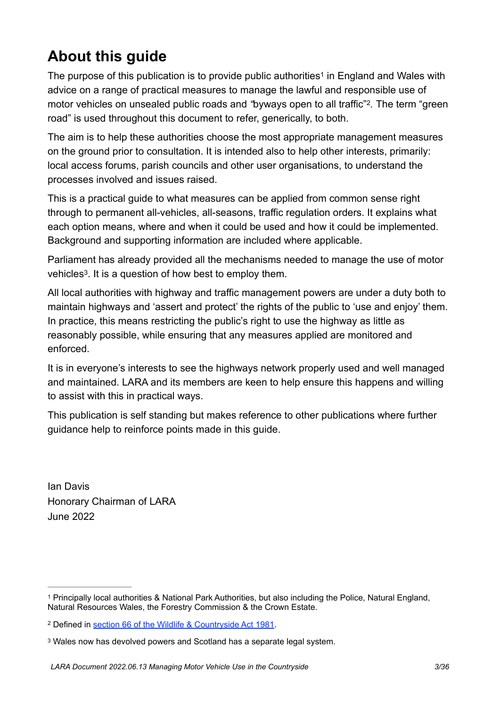# <span id="page-3-0"></span>**About this guide**

<span id="page-3-5"></span><span id="page-3-4"></span>Thepurpose of this publication is to provide public authorities<sup>[1](#page-3-1)</sup> in England and Wales with advice on a range of practical measures to manage the lawful and responsible use of motor vehicles on unsealed public roads and "byways open to all traffic"<sup>[2](#page-3-2)</sup>. The term "green road" is used throughout this document to refer, generically, to both.

The aim is to help these authorities choose the most appropriate management measures on the ground prior to consultation. It is intended also to help other interests, primarily: local access forums, parish councils and other user organisations, to understand the processes involved and issues raised.

This is a practical guide to what measures can be applied from common sense right through to permanent all-vehicles, all-seasons, traffic regulation orders. It explains what each option means, where and when it could be used and how it could be implemented. Background and supporting information are included where applicable.

<span id="page-3-6"></span>Parliament has already provided all the mechanisms needed to manage the use of motor vehicles<sup>[3](#page-3-3)</sup>. It is a question of how best to employ them.

All local authorities with highway and traffic management powers are under a duty both to maintain highways and 'assert and protect' the rights of the public to 'use and enjoy' them. In practice, this means restricting the public's right to use the highway as little as reasonably possible, while ensuring that any measures applied are monitored and enforced.

It is in everyone's interests to see the highways network properly used and well managed and maintained. LARA and its members are keen to help ensure this happens and willing to assist with this in practical ways.

This publication is self standing but makes reference to other publications where further guidance help to reinforce points made in this guide.

Ian Davis Honorary Chairman of LARA June 2022

<span id="page-3-1"></span>Principally local authorities & National Park Authorities, but also including the Police, Natural England, [1](#page-3-4) Natural Resources Wales, the Forestry Commission & the Crown Estate.

<span id="page-3-2"></span>Defined in [section 66 of the Wildlife & Countryside Act 1981.](https://www.legislation.gov.uk/ukpga/1981/69/section/66) [2](#page-3-5)

<span id="page-3-3"></span><sup>&</sup>lt;sup>[3](#page-3-6)</sup> Wales now has devolved powers and Scotland has a separate legal system.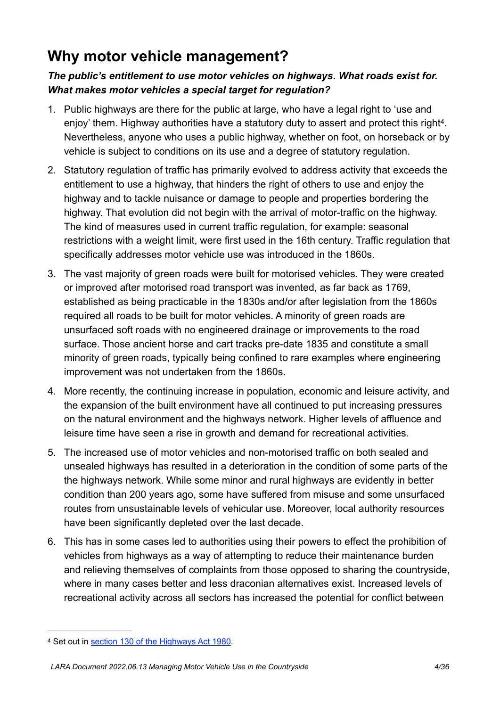# <span id="page-4-0"></span>**Why motor vehicle management?**

## *The public's entitlement to use motor vehicles on highways. What roads exist for. What makes motor vehicles a special target for regulation?*

- <span id="page-4-2"></span>1. Public highways are there for the public at large, who have a legal right to 'use and enjoy' them. Highway authorities have a statutory duty to assert and protect this right<sup>[4](#page-4-1)</sup>. Nevertheless, anyone who uses a public highway, whether on foot, on horseback or by vehicle is subject to conditions on its use and a degree of statutory regulation.
- 2. Statutory regulation of traffic has primarily evolved to address activity that exceeds the entitlement to use a highway, that hinders the right of others to use and enjoy the highway and to tackle nuisance or damage to people and properties bordering the highway. That evolution did not begin with the arrival of motor-traffic on the highway. The kind of measures used in current traffic regulation, for example: seasonal restrictions with a weight limit, were first used in the 16th century. Traffic regulation that specifically addresses motor vehicle use was introduced in the 1860s.
- 3. The vast majority of green roads were built for motorised vehicles. They were created or improved after motorised road transport was invented, as far back as 1769, established as being practicable in the 1830s and/or after legislation from the 1860s required all roads to be built for motor vehicles. A minority of green roads are unsurfaced soft roads with no engineered drainage or improvements to the road surface. Those ancient horse and cart tracks pre-date 1835 and constitute a small minority of green roads, typically being confined to rare examples where engineering improvement was not undertaken from the 1860s.
- 4. More recently, the continuing increase in population, economic and leisure activity, and the expansion of the built environment have all continued to put increasing pressures on the natural environment and the highways network. Higher levels of affluence and leisure time have seen a rise in growth and demand for recreational activities.
- 5. The increased use of motor vehicles and non-motorised traffic on both sealed and unsealed highways has resulted in a deterioration in the condition of some parts of the the highways network. While some minor and rural highways are evidently in better condition than 200 years ago, some have suffered from misuse and some unsurfaced routes from unsustainable levels of vehicular use. Moreover, local authority resources have been significantly depleted over the last decade.
- 6. This has in some cases led to authorities using their powers to effect the prohibition of vehicles from highways as a way of attempting to reduce their maintenance burden and relieving themselves of complaints from those opposed to sharing the countryside, where in many cases better and less draconian alternatives exist. Increased levels of recreational activity across all sectors has increased the potential for conflict between

<span id="page-4-1"></span><sup>&</sup>lt;sup>4</sup> Set out in [section 130 of the Highways Act 1980.](https://www.legislation.gov.uk/ukpga/1980/66/section/130)

*LARA Document 2022.06.13 Managing Motor Vehicle Use in the Countryside 4/36*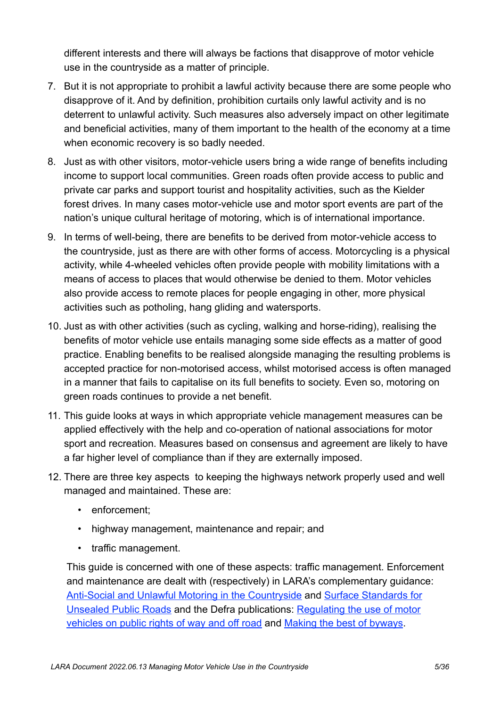different interests and there will always be factions that disapprove of motor vehicle use in the countryside as a matter of principle.

- 7. But it is not appropriate to prohibit a lawful activity because there are some people who disapprove of it. And by definition, prohibition curtails only lawful activity and is no deterrent to unlawful activity. Such measures also adversely impact on other legitimate and beneficial activities, many of them important to the health of the economy at a time when economic recovery is so badly needed.
- 8. Just as with other visitors, motor-vehicle users bring a wide range of benefits including income to support local communities. Green roads often provide access to public and private car parks and support tourist and hospitality activities, such as the Kielder forest drives. In many cases motor-vehicle use and motor sport events are part of the nation's unique cultural heritage of motoring, which is of international importance.
- 9. In terms of well-being, there are benefits to be derived from motor-vehicle access to the countryside, just as there are with other forms of access. Motorcycling is a physical activity, while 4-wheeled vehicles often provide people with mobility limitations with a means of access to places that would otherwise be denied to them. Motor vehicles also provide access to remote places for people engaging in other, more physical activities such as potholing, hang gliding and watersports.
- 10. Just as with other activities (such as cycling, walking and horse-riding), realising the benefits of motor vehicle use entails managing some side effects as a matter of good practice. Enabling benefits to be realised alongside managing the resulting problems is accepted practice for non-motorised access, whilst motorised access is often managed in a manner that fails to capitalise on its full benefits to society. Even so, motoring on green roads continues to provide a net benefit.
- 11. This guide looks at ways in which appropriate vehicle management measures can be applied effectively with the help and co-operation of national associations for motor sport and recreation. Measures based on consensus and agreement are likely to have a far higher level of compliance than if they are externally imposed.
- 12. There are three key aspects to keeping the highways network properly used and well managed and maintained. These are:
	- enforcement;
	- highway management, maintenance and repair; and
	- traffic management.

This guide is concerned with one of these aspects: traffic management. Enforcement and maintenance are dealt with (respectively) in LARA's complementary guidance: [Anti-Social and Unlawful Motoring in the Countryside](https://laragb.org/pdf/LARA_20190325_AntiSocialMotoring.pdf) and [Surface Standards for](https://laragb.org/pdf/LARA_20190329_SurfaceStandards.pdf)  [Unsealed Public Roads](https://laragb.org/pdf/LARA_20190329_SurfaceStandards.pdf) and the Defra publications: [Regulating the use of motor](https://laragb.org/pdf/DEFRA_200512_RegulatingMPVonPROW.pdf)  [vehicles on public rights of way and off road](https://laragb.org/pdf/DEFRA_200512_RegulatingMPVonPROW.pdf) and [Making the best of byways](https://laragb.org/pdf/DEFRA_200512_MakingTheBestOfByways.pdf).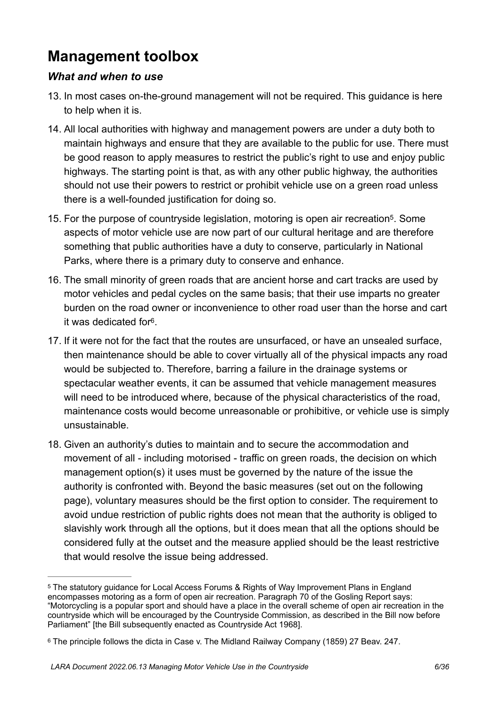# <span id="page-6-0"></span>**Management toolbox**

#### *What and when to use*

- 13. In most cases on-the-ground management will not be required. This guidance is here to help when it is.
- 14. All local authorities with highway and management powers are under a duty both to maintain highways and ensure that they are available to the public for use. There must be good reason to apply measures to restrict the public's right to use and enjoy public highways. The starting point is that, as with any other public highway, the authorities should not use their powers to restrict or prohibit vehicle use on a green road unless there is a well-founded justification for doing so.
- <span id="page-6-3"></span>15[.](#page-6-1) For the purpose of countryside legislation, motoring is open air recreation<sup>[5](#page-6-1)</sup>. Some aspects of motor vehicle use are now part of our cultural heritage and are therefore something that public authorities have a duty to conserve, particularly in National Parks, where there is a primary duty to conserve and enhance.
- 16. The small minority of green roads that are ancient horse and cart tracks are used by motor vehicles and pedal cycles on the same basis; that their use imparts no greater burden on the road owner or inconvenience to other road user than the horse and cart it was dedicated for $6$ .
- <span id="page-6-4"></span>17. If it were not for the fact that the routes are unsurfaced, or have an unsealed surface, then maintenance should be able to cover virtually all of the physical impacts any road would be subjected to. Therefore, barring a failure in the drainage systems or spectacular weather events, it can be assumed that vehicle management measures will need to be introduced where, because of the physical characteristics of the road, maintenance costs would become unreasonable or prohibitive, or vehicle use is simply unsustainable.
- 18. Given an authority's duties to maintain and to secure the accommodation and movement of all - including motorised - traffic on green roads, the decision on which management option(s) it uses must be governed by the nature of the issue the authority is confronted with. Beyond the basic measures (set out on the following page), voluntary measures should be the first option to consider. The requirement to avoid undue restriction of public rights does not mean that the authority is obliged to slavishly work through all the options, but it does mean that all the options should be considered fully at the outset and the measure applied should be the least restrictive that would resolve the issue being addressed.

<span id="page-6-1"></span><sup>&</sup>lt;sup>[5](#page-6-3)</sup> The statutory guidance for Local Access Forums & Rights of Way Improvement Plans in England encompasses motoring as a form of open air recreation. Paragraph 70 of the Gosling Report says: "Motorcycling is a popular sport and should have a place in the overall scheme of open air recreation in the countryside which will be encouraged by the Countryside Commission, as described in the Bill now before Parliament" [the Bill subsequently enacted as Countryside Act 1968].

<span id="page-6-2"></span><sup>&</sup>lt;sup>[6](#page-6-4)</sup> The principle follows the dicta in Case v. The Midland Railway Company (1859) 27 Beav. 247.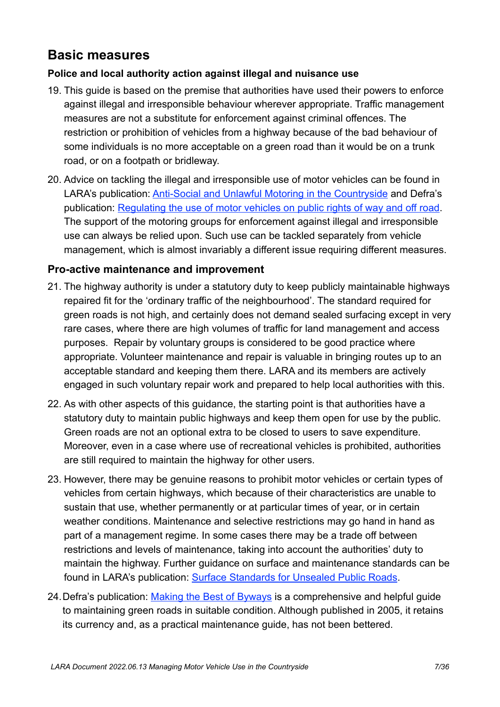## <span id="page-7-0"></span>**Basic measures**

#### **Police and local authority action against illegal and nuisance use**

- 19. This guide is based on the premise that authorities have used their powers to enforce against illegal and irresponsible behaviour wherever appropriate. Traffic management measures are not a substitute for enforcement against criminal offences. The restriction or prohibition of vehicles from a highway because of the bad behaviour of some individuals is no more acceptable on a green road than it would be on a trunk road, or on a footpath or bridleway.
- 20. Advice on tackling the illegal and irresponsible use of motor vehicles can be found in LARA's publication: [Anti-Social and Unlawful Motoring in the Countryside](https://laragb.org/pdf/LARA_20190325_AntiSocialMotoring.pdf) and Defra's publication: [Regulating the use of motor vehicles on public rights of way and off road.](https://laragb.org/pdf/DEFRA_200512_RegulatingMPVonPROW.pdf) The support of the motoring groups for enforcement against illegal and irresponsible use can always be relied upon. Such use can be tackled separately from vehicle management, which is almost invariably a different issue requiring different measures.

#### **Pro-active maintenance and improvement**

- 21. The highway authority is under a statutory duty to keep publicly maintainable highways repaired fit for the 'ordinary traffic of the neighbourhood'. The standard required for green roads is not high, and certainly does not demand sealed surfacing except in very rare cases, where there are high volumes of traffic for land management and access purposes. Repair by voluntary groups is considered to be good practice where appropriate. Volunteer maintenance and repair is valuable in bringing routes up to an acceptable standard and keeping them there. LARA and its members are actively engaged in such voluntary repair work and prepared to help local authorities with this.
- 22. As with other aspects of this guidance, the starting point is that authorities have a statutory duty to maintain public highways and keep them open for use by the public. Green roads are not an optional extra to be closed to users to save expenditure. Moreover, even in a case where use of recreational vehicles is prohibited, authorities are still required to maintain the highway for other users.
- 23. However, there may be genuine reasons to prohibit motor vehicles or certain types of vehicles from certain highways, which because of their characteristics are unable to sustain that use, whether permanently or at particular times of year, or in certain weather conditions. Maintenance and selective restrictions may go hand in hand as part of a management regime. In some cases there may be a trade off between restrictions and levels of maintenance, taking into account the authorities' duty to maintain the highway. Further guidance on surface and maintenance standards can be found in LARA's publication: [Surface Standards for Unsealed Public Roads](https://laragb.org/pdf/LARA_20190329_SurfaceStandards.pdf).
- 24.Defra's publication: [Making the Best of Byways](https://laragb.org/pdf/DEFRA_200512_MakingTheBestOfByways.pdf) is a comprehensive and helpful guide to maintaining green roads in suitable condition. Although published in 2005, it retains its currency and, as a practical maintenance guide, has not been bettered.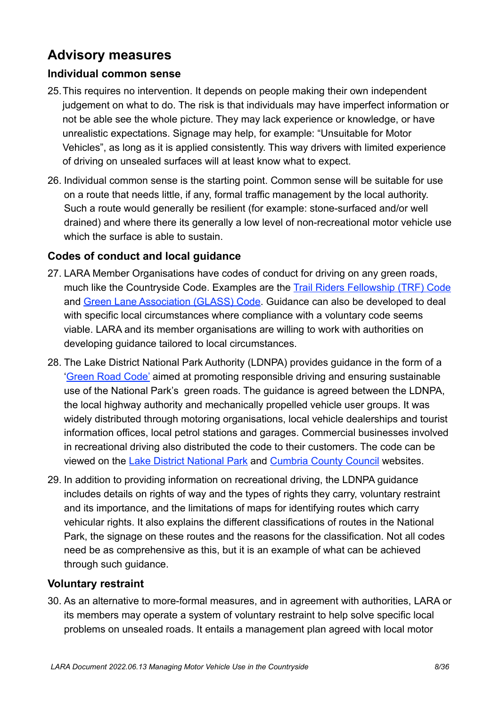## <span id="page-8-0"></span>**Advisory measures**

#### **Individual common sense**

- 25.This requires no intervention. It depends on people making their own independent judgement on what to do. The risk is that individuals may have imperfect information or not be able see the whole picture. They may lack experience or knowledge, or have unrealistic expectations. Signage may help, for example: "Unsuitable for Motor Vehicles", as long as it is applied consistently. This way drivers with limited experience of driving on unsealed surfaces will at least know what to expect.
- 26. Individual common sense is the starting point. Common sense will be suitable for use on a route that needs little, if any, formal traffic management by the local authority. Such a route would generally be resilient (for example: stone-surfaced and/or well drained) and where there its generally a low level of non-recreational motor vehicle use which the surface is able to sustain.

## **Codes of conduct and local guidance**

- 27. LARA Member Organisations have codes of conduct for driving on any green roads, much like the Countryside Code. Examples are the [Trail Riders Fellowship \(TRF\) Code](https://www.trf.org.uk/beginners/#3) and [Green Lane Association \(GLASS\) Code](https://glass-uk.org/about/our-code-of-conduct.html). Guidance can also be developed to deal with specific local circumstances where compliance with a voluntary code seems viable. LARA and its member organisations are willing to work with authorities on developing guidance tailored to local circumstances.
- 28. The Lake District National Park Authority (LDNPA) provides guidance in the form of a '[Green Road Code'](https://www.lakedistrict.gov.uk/__data/assets/pdf_file/0023/105377/leaflet_green_road_code_9_03.pdf) aimed at promoting responsible driving and ensuring sustainable use of the National Park's green roads. The guidance is agreed between the LDNPA, the local highway authority and mechanically propelled vehicle user groups. It was widely distributed through motoring organisations, local vehicle dealerships and tourist information offices, local petrol stations and garages. Commercial businesses involved in recreational driving also distributed the code to their customers. The code can be viewed on the [Lake District National Park](https://www.lakedistrict.gov.uk/__data/assets/pdf_file/0023/105377/leaflet_green_road_code_9_03.pdf) and [Cumbria County Council](https://www.cumbria.gov.uk/roads-transport/public-transport-road-safety/countryside-access/HOTR/Hierarchy_of_Trails_Routes.asp) websites.
- 29. In addition to providing information on recreational driving, the LDNPA guidance includes details on rights of way and the types of rights they carry, voluntary restraint and its importance, and the limitations of maps for identifying routes which carry vehicular rights. It also explains the different classifications of routes in the National Park, the signage on these routes and the reasons for the classification. Not all codes need be as comprehensive as this, but it is an example of what can be achieved through such guidance.

#### **Voluntary restraint**

30. As an alternative to more-formal measures, and in agreement with authorities, LARA or its members may operate a system of voluntary restraint to help solve specific local problems on unsealed roads. It entails a management plan agreed with local motor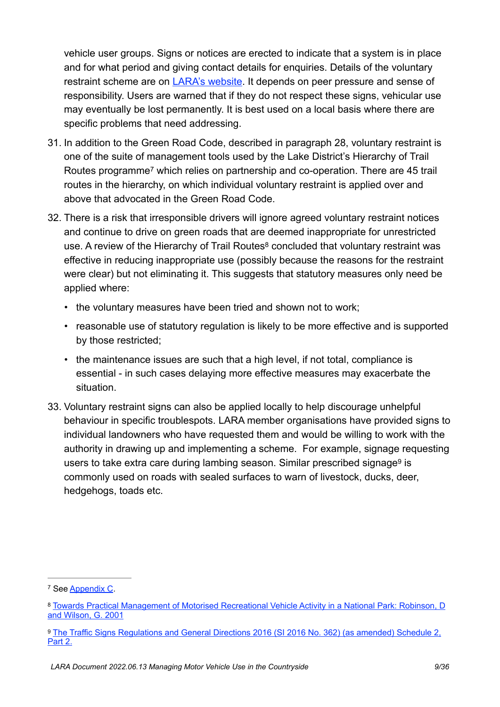vehicle user groups. Signs or notices are erected to indicate that a system is in place and for what period and giving contact details for enquiries. Details of the voluntary restraint scheme are on [LARA's website](https://laragb.org/voluntary-restraint/). It depends on peer pressure and sense of responsibility. Users are warned that if they do not respect these signs, vehicular use may eventually be lost permanently. It is best used on a local basis where there are specific problems that need addressing.

- <span id="page-9-3"></span>31. In addition to the Green Road Code, described in paragraph 28, voluntary restraint is one of the suite of management tools used by the Lake District's Hierarchy of Trail Routes programme<sup>[7](#page-9-0)</sup> which relies on partnership and co-operation. There are 45 trail routes in the hierarchy, on which individual voluntary restraint is applied over and above that advocated in the Green Road Code.
- <span id="page-9-4"></span>32. There is a risk that irresponsible drivers will ignore agreed voluntary restraint notices and continue to drive on green roads that are deemed inappropriate for unrestricted use. A review of the Hierarchy of Trail Routes<sup>[8](#page-9-1)</sup> concluded that voluntary restraint was effective in reducing inappropriate use (possibly because the reasons for the restraint were clear) but not eliminating it. This suggests that statutory measures only need be applied where:
	- the voluntary measures have been tried and shown not to work;
	- reasonable use of statutory regulation is likely to be more effective and is supported by those restricted;
	- the maintenance issues are such that a high level, if not total, compliance is essential - in such cases delaying more effective measures may exacerbate the situation.
- <span id="page-9-5"></span>33. Voluntary restraint signs can also be applied locally to help discourage unhelpful behaviour in specific troublespots. LARA member organisations have provided signs to individual landowners who have requested them and would be willing to work with the authority in drawing up and implementing a scheme. For example, signage requesting users to take extra care during lambing season. Similar prescribed signage<sup>[9](#page-9-2)</sup> is commonly used on roads with sealed surfaces to warn of livestock, ducks, deer, hedgehogs, toads etc.

<span id="page-9-0"></span><sup>&</sup>lt;sup>7</sup> See [Appendix C.](#page-23-0)

<span id="page-9-1"></span>[Towards Practical Management of Motorised Recreational Vehicle Activity in a National Park: Robinson, D](https://laragb.org/pdf/CRN_200506_LakeDistricHoTR.pdf) [8](#page-9-4) [and Wilson, G. 2001](https://laragb.org/pdf/CRN_200506_LakeDistricHoTR.pdf)

<span id="page-9-2"></span><sup>&</sup>lt;sup>[9](#page-9-5)</sup> The Traffic Signs Regulations and General Directions 2016 (SI 2016 No. 362) (as amended) Schedule 2, [Part 2.](https://www.legislation.gov.uk/uksi/2016/362/schedule/2/made)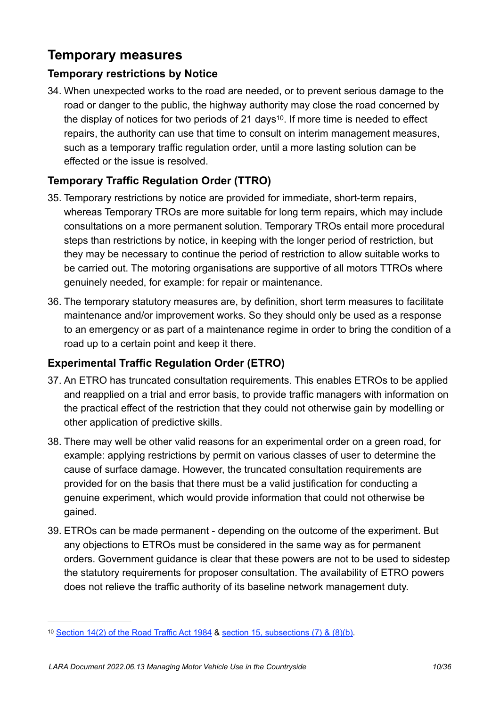## <span id="page-10-0"></span>**Temporary measures**

### **Temporary restrictions by Notice**

<span id="page-10-2"></span>34. When unexpected works to the road are needed, or to prevent serious damage to the road or danger to the public, the highway authority may close the road concerned by the display of notices for two periods of 21 days<sup>10</sup>[.](#page-10-1) If more time is needed to effect repairs, the authority can use that time to consult on interim management measures, such as a temporary traffic regulation order, until a more lasting solution can be effected or the issue is resolved.

## **Temporary Traffic Regulation Order (TTRO)**

- 35. Temporary restrictions by notice are provided for immediate, short-term repairs, whereas Temporary TROs are more suitable for long term repairs, which may include consultations on a more permanent solution. Temporary TROs entail more procedural steps than restrictions by notice, in keeping with the longer period of restriction, but they may be necessary to continue the period of restriction to allow suitable works to be carried out. The motoring organisations are supportive of all motors TTROs where genuinely needed, for example: for repair or maintenance.
- 36. The temporary statutory measures are, by definition, short term measures to facilitate maintenance and/or improvement works. So they should only be used as a response to an emergency or as part of a maintenance regime in order to bring the condition of a road up to a certain point and keep it there.

## **Experimental Traffic Regulation Order (ETRO)**

- 37. An ETRO has truncated consultation requirements. This enables ETROs to be applied and reapplied on a trial and error basis, to provide traffic managers with information on the practical effect of the restriction that they could not otherwise gain by modelling or other application of predictive skills.
- 38. There may well be other valid reasons for an experimental order on a green road, for example: applying restrictions by permit on various classes of user to determine the cause of surface damage. However, the truncated consultation requirements are provided for on the basis that there must be a valid justification for conducting a genuine experiment, which would provide information that could not otherwise be gained.
- 39. ETROs can be made permanent depending on the outcome of the experiment. But any objections to ETROs must be considered in the same way as for permanent orders. Government guidance is clear that these powers are not to be used to sidestep the statutory requirements for proposer consultation. The availability of ETRO powers does not relieve the traffic authority of its baseline network management duty.

<span id="page-10-1"></span><sup>&</sup>lt;sup>10</sup> [Section 14\(2\) of the Road Traffic Act 1984](https://www.legislation.gov.uk/ukpga/1984/27/section/14) & [section 15, subsections \(7\) & \(8\)\(b\)](https://www.legislation.gov.uk/ukpga/1984/27/section/15).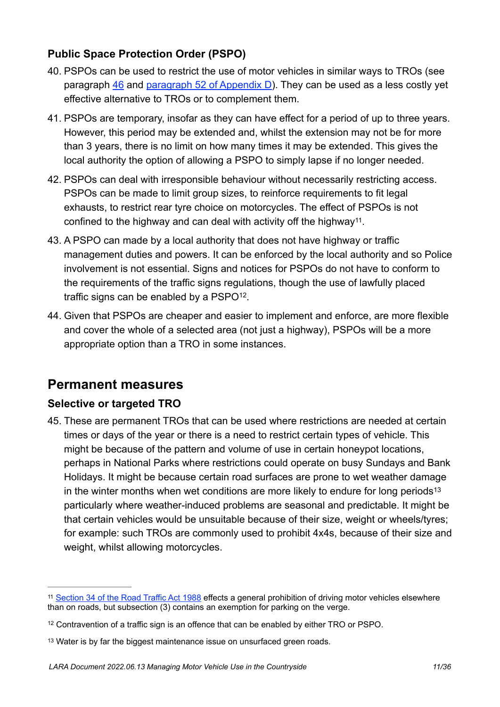## **Public Space Protection Order (PSPO)**

- 40. PSPOs can be used to restrict the use of motor vehicles in similar ways to TROs (see paragraph  $46$  and [paragraph 52 of Appendix D\)](#page-36-0). They can be used as a less costly yet effective alternative to TROs or to complement them.
- 41. PSPOs are temporary, insofar as they can have effect for a period of up to three years. However, this period may be extended and, whilst the extension may not be for more than 3 years, there is no limit on how many times it may be extended. This gives the local authority the option of allowing a PSPO to simply lapse if no longer needed.
- 42. PSPOs can deal with irresponsible behaviour without necessarily restricting access. PSPOs can be made to limit group sizes, to reinforce requirements to fit legal exhausts, to restrict rear tyre choice on motorcycles. The effect of PSPOs is not confined to the highway and can deal with activity off the highway<sup>[11](#page-11-1)</sup>.
- <span id="page-11-4"></span>43. A PSPO can made by a local authority that does not have highway or traffic management duties and powers. It can be enforced by the local authority and so Police involvement is not essential. Signs and notices for PSPOs do not have to conform to the requirements of the traffic signs regulations, though the use of lawfully placed traffic signs can be enabled by a  $PSPO<sup>12</sup>$  $PSPO<sup>12</sup>$  $PSPO<sup>12</sup>$ .
- <span id="page-11-5"></span>44. Given that PSPOs are cheaper and easier to implement and enforce, are more flexible and cover the whole of a selected area (not just a highway), PSPOs will be a more appropriate option than a TRO in some instances.

## <span id="page-11-0"></span>**Permanent measures**

## **Selective or targeted TRO**

<span id="page-11-6"></span>45. These are permanent TROs that can be used where restrictions are needed at certain times or days of the year or there is a need to restrict certain types of vehicle. This might be because of the pattern and volume of use in certain honeypot locations, perhaps in National Parks where restrictions could operate on busy Sundays and Bank Holidays. It might be because certain road surfaces are prone to wet weather damage in the winter months when wet conditions are more likely to endure for long periods<sup>13</sup> particularly where weather-induced problems are seasonal and predictable. It might be that certain vehicles would be unsuitable because of their size, weight or wheels/tyres; for example: such TROs are commonly used to prohibit 4x4s, because of their size and weight, whilst allowing motorcycles.

<span id="page-11-1"></span><sup>&</sup>lt;sup>11</sup> [Section 34 of the Road Traffic Act 1988](https://www.legislation.gov.uk/ukpga/1988/52/section/34) effects a general prohibition of driving motor vehicles elsewhere than on roads, but subsection (3) contains an exemption for parking on the verge.

<span id="page-11-2"></span> $12$  Contravention of a traffic sign is an offence that can be enabled by either TRO or PSPO.

<span id="page-11-3"></span><sup>&</sup>lt;sup>[13](#page-11-6)</sup> Water is by far the biggest maintenance issue on unsurfaced green roads.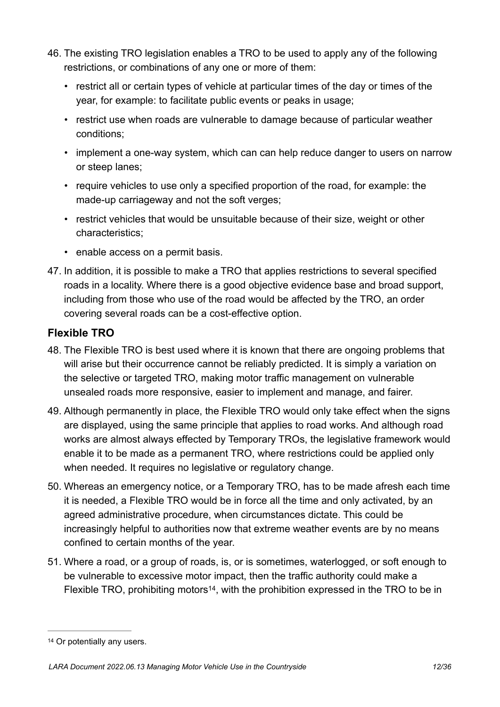- <span id="page-12-0"></span>46. The existing TRO legislation enables a TRO to be used to apply any of the following restrictions, or combinations of any one or more of them:
	- restrict all or certain types of vehicle at particular times of the day or times of the year, for example: to facilitate public events or peaks in usage;
	- restrict use when roads are vulnerable to damage because of particular weather conditions;
	- implement a one-way system, which can can help reduce danger to users on narrow or steep lanes;
	- require vehicles to use only a specified proportion of the road, for example: the made-up carriageway and not the soft verges;
	- restrict vehicles that would be unsuitable because of their size, weight or other characteristics;
	- enable access on a permit basis.
- 47. In addition, it is possible to make a TRO that applies restrictions to several specified roads in a locality. Where there is a good objective evidence base and broad support, including from those who use of the road would be affected by the TRO, an order covering several roads can be a cost-effective option.

### **Flexible TRO**

- 48. The Flexible TRO is best used where it is known that there are ongoing problems that will arise but their occurrence cannot be reliably predicted. It is simply a variation on the selective or targeted TRO, making motor traffic management on vulnerable unsealed roads more responsive, easier to implement and manage, and fairer.
- 49. Although permanently in place, the Flexible TRO would only take effect when the signs are displayed, using the same principle that applies to road works. And although road works are almost always effected by Temporary TROs, the legislative framework would enable it to be made as a permanent TRO, where restrictions could be applied only when needed. It requires no legislative or regulatory change.
- 50. Whereas an emergency notice, or a Temporary TRO, has to be made afresh each time it is needed, a Flexible TRO would be in force all the time and only activated, by an agreed administrative procedure, when circumstances dictate. This could be increasingly helpful to authorities now that extreme weather events are by no means confined to certain months of the year.
- <span id="page-12-2"></span>51. Where a road, or a group of roads, is, or is sometimes, waterlogged, or soft enough to be vulnerable to excessive motor impact, then the traffic authority could make a Flexible TRO[,](#page-12-1) prohibiting motors<sup>[14](#page-12-1)</sup>, with the prohibition expressed in the TRO to be in

<span id="page-12-1"></span>[<sup>14</sup>](#page-12-2) Or potentially any users.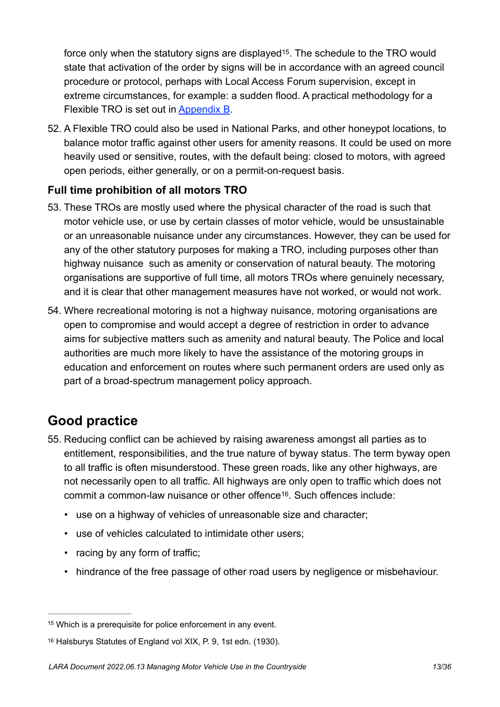<span id="page-13-3"></span>force only when the statutory signs are displayed<sup>15</sup>[.](#page-13-1) The schedule to the TRO would state that activation of the order by signs will be in accordance with an agreed council procedure or protocol, perhaps with Local Access Forum supervision, except in extreme circumstances, for example: a sudden flood. A practical methodology for a Flexible TRO is set out in [Appendix B](#page-22-0).

52. A Flexible TRO could also be used in National Parks, and other honeypot locations, to balance motor traffic against other users for amenity reasons. It could be used on more heavily used or sensitive, routes, with the default being: closed to motors, with agreed open periods, either generally, or on a permit-on-request basis.

## **Full time prohibition of all motors TRO**

- 53. These TROs are mostly used where the physical character of the road is such that motor vehicle use, or use by certain classes of motor vehicle, would be unsustainable or an unreasonable nuisance under any circumstances. However, they can be used for any of the other statutory purposes for making a TRO, including purposes other than highway nuisance such as amenity or conservation of natural beauty. The motoring organisations are supportive of full time, all motors TROs where genuinely necessary, and it is clear that other management measures have not worked, or would not work.
- 54. Where recreational motoring is not a highway nuisance, motoring organisations are open to compromise and would accept a degree of restriction in order to advance aims for subjective matters such as amenity and natural beauty. The Police and local authorities are much more likely to have the assistance of the motoring groups in education and enforcement on routes where such permanent orders are used only as part of a broad-spectrum management policy approach.

## <span id="page-13-0"></span>**Good practice**

- <span id="page-13-4"></span>55. Reducing conflict can be achieved by raising awareness amongst all parties as to entitlement, responsibilities, and the true nature of byway status. The term byway open to all traffic is often misunderstood. These green roads, like any other highways, are not necessarily open to all traffic. All highways are only open to traffic which does not commit a common-law nuisance or other offence<sup>[16](#page-13-2)</sup>. Such offences include:
	- use on a highway of vehicles of unreasonable size and character;
	- use of vehicles calculated to intimidate other users;
	- racing by any form of traffic;
	- hindrance of the free passage of other road users by negligence or misbehaviour.

<span id="page-13-1"></span><sup>&</sup>lt;sup>[15](#page-13-3)</sup> Which is a prerequisite for police enforcement in any event.

<span id="page-13-2"></span>[<sup>16</sup>](#page-13-4) Halsburys Statutes of England vol XIX, P. 9, 1st edn. (1930).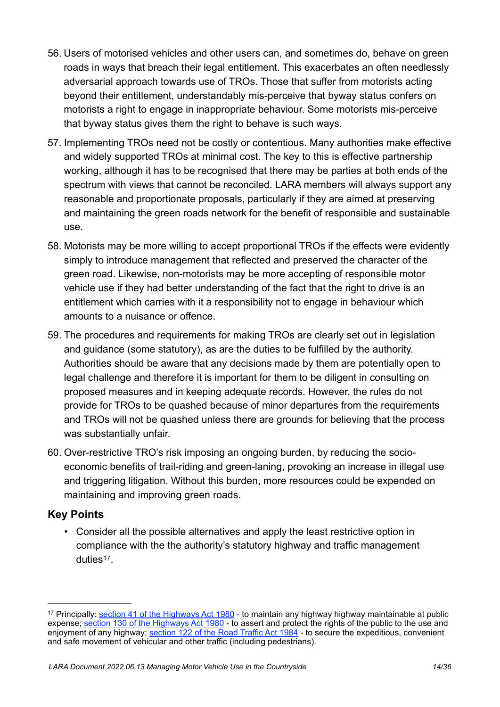- 56. Users of motorised vehicles and other users can, and sometimes do, behave on green roads in ways that breach their legal entitlement. This exacerbates an often needlessly adversarial approach towards use of TROs. Those that suffer from motorists acting beyond their entitlement, understandably mis-perceive that byway status confers on motorists a right to engage in inappropriate behaviour. Some motorists mis-perceive that byway status gives them the right to behave is such ways.
- 57. Implementing TROs need not be costly or contentious. Many authorities make effective and widely supported TROs at minimal cost. The key to this is effective partnership working, although it has to be recognised that there may be parties at both ends of the spectrum with views that cannot be reconciled. LARA members will always support any reasonable and proportionate proposals, particularly if they are aimed at preserving and maintaining the green roads network for the benefit of responsible and sustainable use.
- 58. Motorists may be more willing to accept proportional TROs if the effects were evidently simply to introduce management that reflected and preserved the character of the green road. Likewise, non-motorists may be more accepting of responsible motor vehicle use if they had better understanding of the fact that the right to drive is an entitlement which carries with it a responsibility not to engage in behaviour which amounts to a nuisance or offence.
- 59. The procedures and requirements for making TROs are clearly set out in legislation and guidance (some statutory), as are the duties to be fulfilled by the authority. Authorities should be aware that any decisions made by them are potentially open to legal challenge and therefore it is important for them to be diligent in consulting on proposed measures and in keeping adequate records. However, the rules do not provide for TROs to be quashed because of minor departures from the requirements and TROs will not be quashed unless there are grounds for believing that the process was substantially unfair.
- 60. Over-restrictive TRO's risk imposing an ongoing burden, by reducing the socioeconomic benefits of trail-riding and green-laning, provoking an increase in illegal use and triggering litigation. Without this burden, more resources could be expended on maintaining and improving green roads.

## **Key Points**

<span id="page-14-1"></span>• Consider all the possible alternatives and apply the least restrictive option in compliance with the the authority's statutory highway and traffic management  $d$ uties<sup>[17](#page-14-0)</sup>

<span id="page-14-0"></span><sup>&</sup>lt;sup>17</sup> Principally: [section 41 of the Highways Act 1980](https://www.legislation.gov.uk/ukpga/1980/66/section/41) - to maintain any highway highway maintainable at public expense; [section 130 of the Highways Act 1980](https://www.legislation.gov.uk/ukpga/1980/66/section/130) - to assert and protect the rights of the public to the use and enjoyment of any highway; [section 122 of the Road Traffic Act 1984](https://www.legislation.gov.uk/ukpga/1984/27/section/122) - to secure the expeditious, convenient and safe movement of vehicular and other traffic (including pedestrians).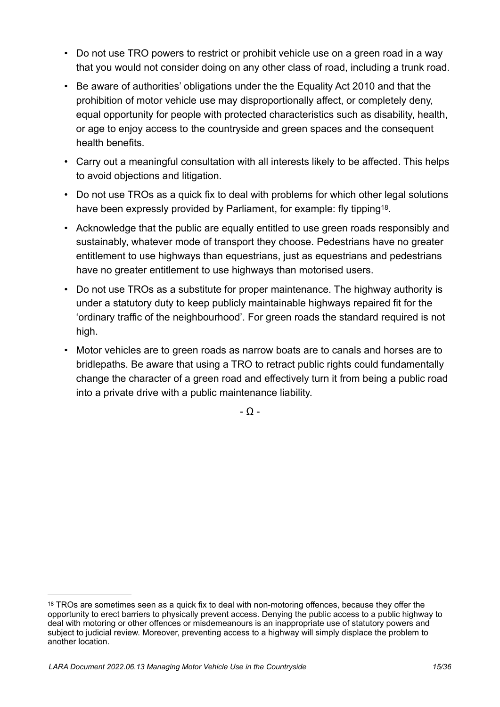- Do not use TRO powers to restrict or prohibit vehicle use on a green road in a way that you would not consider doing on any other class of road, including a trunk road.
- Be aware of authorities' obligations under the the Equality Act 2010 and that the prohibition of motor vehicle use may disproportionally affect, or completely deny, equal opportunity for people with protected characteristics such as disability, health, or age to enjoy access to the countryside and green spaces and the consequent health benefits.
- Carry out a meaningful consultation with all interests likely to be affected. This helps to avoid objections and litigation.
- Do not use TROs as a quick fix to deal with problems for which other legal solutions have been expressly provided by Parliament, for example: fly tipping<sup>[18](#page-15-0)</sup>.
- Acknowledge that the public are equally entitled to use green roads responsibly and sustainably, whatever mode of transport they choose. Pedestrians have no greater entitlement to use highways than equestrians, just as equestrians and pedestrians have no greater entitlement to use highways than motorised users.
- Do not use TROs as a substitute for proper maintenance. The highway authority is under a statutory duty to keep publicly maintainable highways repaired fit for the 'ordinary traffic of the neighbourhood'. For green roads the standard required is not high.
- Motor vehicles are to green roads as narrow boats are to canals and horses are to bridlepaths. Be aware that using a TRO to retract public rights could fundamentally change the character of a green road and effectively turn it from being a public road into a private drive with a public maintenance liability.

<span id="page-15-1"></span>- Ω -

<span id="page-15-0"></span><sup>&</sup>lt;sup>[18](#page-15-1)</sup> TROs are sometimes seen as a quick fix to deal with non-motoring offences, because they offer the opportunity to erect barriers to physically prevent access. Denying the public access to a public highway to deal with motoring or other offences or misdemeanours is an inappropriate use of statutory powers and subject to judicial review. Moreover, preventing access to a highway will simply displace the problem to another location.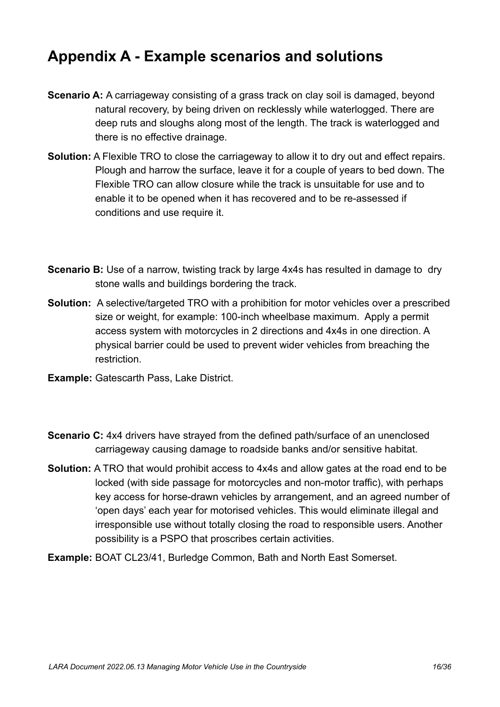# <span id="page-16-0"></span>**Appendix A - Example scenarios and solutions**

- **Scenario A:** A carriageway consisting of a grass track on clay soil is damaged, beyond natural recovery, by being driven on recklessly while waterlogged. There are deep ruts and sloughs along most of the length. The track is waterlogged and there is no effective drainage.
- **Solution:** A Flexible TRO to close the carriageway to allow it to dry out and effect repairs. Plough and harrow the surface, leave it for a couple of years to bed down. The Flexible TRO can allow closure while the track is unsuitable for use and to enable it to be opened when it has recovered and to be re-assessed if conditions and use require it.
- **Scenario B:** Use of a narrow, twisting track by large 4x4s has resulted in damage to dry stone walls and buildings bordering the track.
- **Solution:** A selective/targeted TRO with a prohibition for motor vehicles over a prescribed size or weight, for example: 100-inch wheelbase maximum. Apply a permit access system with motorcycles in 2 directions and 4x4s in one direction. A physical barrier could be used to prevent wider vehicles from breaching the restriction.
- **Example:** Gatescarth Pass, Lake District.
- **Scenario C:** 4x4 drivers have strayed from the defined path/surface of an unenclosed carriageway causing damage to roadside banks and/or sensitive habitat.
- **Solution:** A TRO that would prohibit access to 4x4s and allow gates at the road end to be locked (with side passage for motorcycles and non-motor traffic), with perhaps key access for horse-drawn vehicles by arrangement, and an agreed number of 'open days' each year for motorised vehicles. This would eliminate illegal and irresponsible use without totally closing the road to responsible users. Another possibility is a PSPO that proscribes certain activities.
- **Example:** BOAT CL23/41, Burledge Common, Bath and North East Somerset.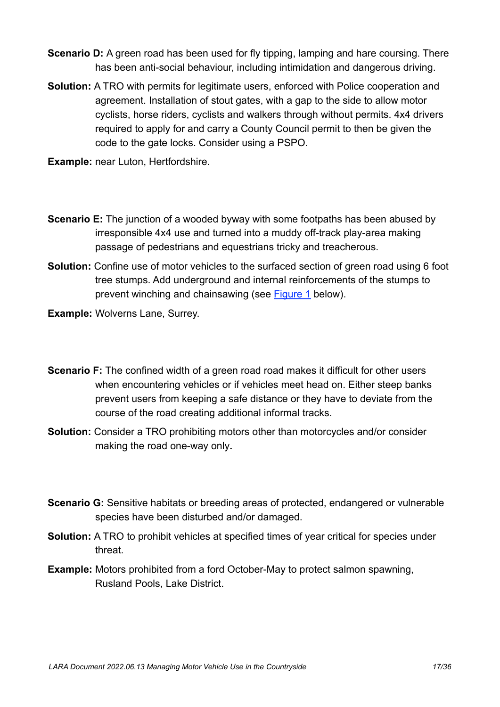- **Scenario D:** A green road has been used for fly tipping, lamping and hare coursing. There has been anti-social behaviour, including intimidation and dangerous driving.
- **Solution:** A TRO with permits for legitimate users, enforced with Police cooperation and agreement. Installation of stout gates, with a gap to the side to allow motor cyclists, horse riders, cyclists and walkers through without permits. 4x4 drivers required to apply for and carry a County Council permit to then be given the code to the gate locks. Consider using a PSPO.
- **Example:** near Luton, Hertfordshire.
- **Scenario E:** The junction of a wooded byway with some footpaths has been abused by irresponsible 4x4 use and turned into a muddy off-track play-area making passage of pedestrians and equestrians tricky and treacherous.
- **Solution:** Confine use of motor vehicles to the surfaced section of green road using 6 foot tree stumps. Add underground and internal reinforcements of the stumps to prevent winching and chainsawing (see [Figure 1](#page-21-0) below).
- **Example:** Wolverns Lane, Surrey.
- **Scenario F:** The confined width of a green road road makes it difficult for other users when encountering vehicles or if vehicles meet head on. Either steep banks prevent users from keeping a safe distance or they have to deviate from the course of the road creating additional informal tracks.
- **Solution:** Consider a TRO prohibiting motors other than motorcycles and/or consider making the road one-way only**.**
- **Scenario G:** Sensitive habitats or breeding areas of protected, endangered or vulnerable species have been disturbed and/or damaged.
- **Solution:** A TRO to prohibit vehicles at specified times of year critical for species under threat.
- **Example:** Motors prohibited from a ford October-May to protect salmon spawning, Rusland Pools, Lake District.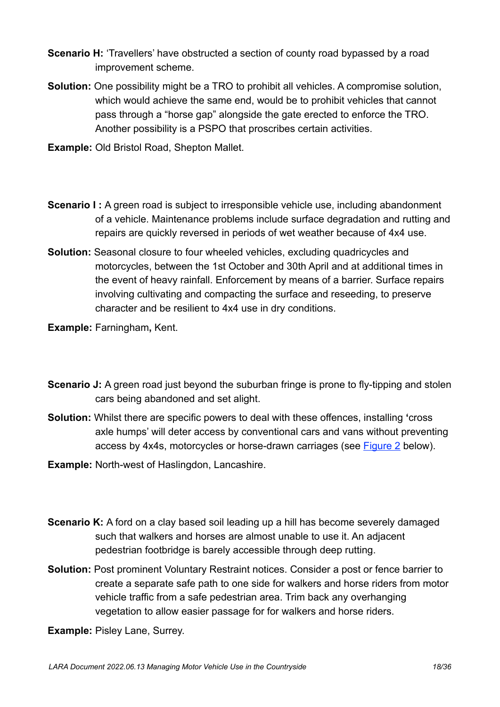- **Scenario H:** 'Travellers' have obstructed a section of county road by passed by a road improvement scheme.
- **Solution:** One possibility might be a TRO to prohibit all vehicles. A compromise solution, which would achieve the same end, would be to prohibit vehicles that cannot pass through a "horse gap" alongside the gate erected to enforce the TRO. Another possibility is a PSPO that proscribes certain activities.
- **Example:** Old Bristol Road, Shepton Mallet.
- **Scenario I :** A green road is subject to irresponsible vehicle use, including abandonment of a vehicle. Maintenance problems include surface degradation and rutting and repairs are quickly reversed in periods of wet weather because of 4x4 use.
- **Solution:** Seasonal closure to four wheeled vehicles, excluding quadricycles and motorcycles, between the 1st October and 30th April and at additional times in the event of heavy rainfall. Enforcement by means of a barrier. Surface repairs involving cultivating and compacting the surface and reseeding, to preserve character and be resilient to 4x4 use in dry conditions.
- **Example:** Farningham**,** Kent.
- **Scenario J:** A green road just beyond the suburban fringe is prone to fly-tipping and stolen cars being abandoned and set alight.
- **Solution:** Whilst there are specific powers to deal with these offences, installing **'**cross axle humps' will deter access by conventional cars and vans without preventing access by 4x4s, motorcycles or horse-drawn carriages (see [Figure 2](#page-21-1) below).
- **Example:** North-west of Haslingdon, Lancashire.
- **Scenario K:** A ford on a clay based soil leading up a hill has become severely damaged such that walkers and horses are almost unable to use it. An adjacent pedestrian footbridge is barely accessible through deep rutting.
- **Solution:** Post prominent Voluntary Restraint notices. Consider a post or fence barrier to create a separate safe path to one side for walkers and horse riders from motor vehicle traffic from a safe pedestrian area. Trim back any overhanging vegetation to allow easier passage for for walkers and horse riders.
- **Example:** Pisley Lane, Surrey.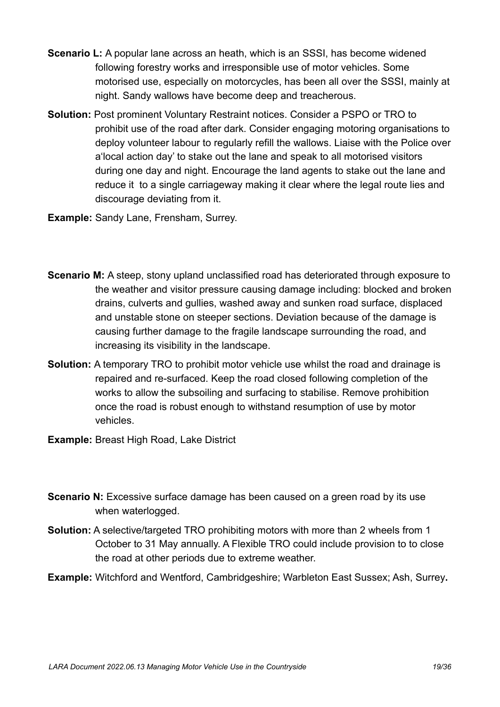- **Scenario L:** A popular lane across an heath, which is an SSSI, has become widened following forestry works and irresponsible use of motor vehicles. Some motorised use, especially on motorcycles, has been all over the SSSI, mainly at night. Sandy wallows have become deep and treacherous.
- **Solution:** Post prominent Voluntary Restraint notices. Consider a PSPO or TRO to prohibit use of the road after dark. Consider engaging motoring organisations to deploy volunteer labour to regularly refill the wallows. Liaise with the Police over a'local action day' to stake out the lane and speak to all motorised visitors during one day and night. Encourage the land agents to stake out the lane and reduce it to a single carriageway making it clear where the legal route lies and discourage deviating from it.

**Example:** Sandy Lane, Frensham, Surrey.

- **Scenario M:** A steep, stony upland unclassified road has deteriorated through exposure to the weather and visitor pressure causing damage including: blocked and broken drains, culverts and gullies, washed away and sunken road surface, displaced and unstable stone on steeper sections. Deviation because of the damage is causing further damage to the fragile landscape surrounding the road, and increasing its visibility in the landscape.
- **Solution:** A temporary TRO to prohibit motor vehicle use whilst the road and drainage is repaired and re-surfaced. Keep the road closed following completion of the works to allow the subsoiling and surfacing to stabilise. Remove prohibition once the road is robust enough to withstand resumption of use by motor vehicles.
- **Example:** Breast High Road, Lake District
- **Scenario N:** Excessive surface damage has been caused on a green road by its use when waterlogged.
- **Solution:** A selective/targeted TRO prohibiting motors with more than 2 wheels from 1 October to 31 May annually. A Flexible TRO could include provision to to close the road at other periods due to extreme weather.
- **Example:** Witchford and Wentford, Cambridgeshire; Warbleton East Sussex; Ash, Surrey**.**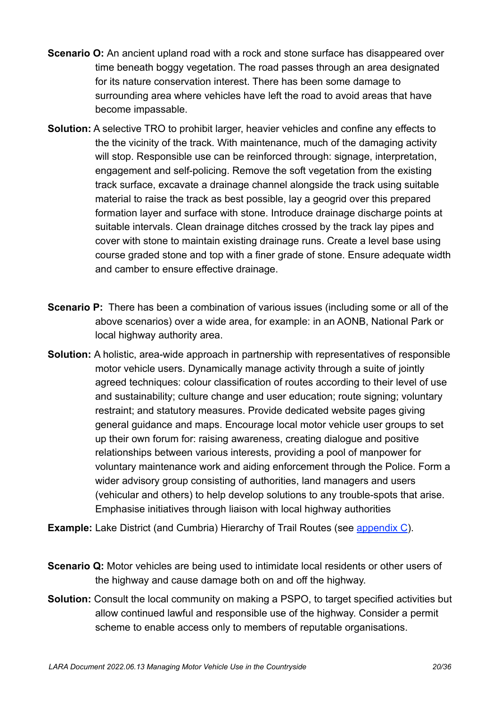- **Scenario O:** An ancient upland road with a rock and stone surface has disappeared over time beneath boggy vegetation. The road passes through an area designated for its nature conservation interest. There has been some damage to surrounding area where vehicles have left the road to avoid areas that have become impassable.
- **Solution:** A selective TRO to prohibit larger, heavier vehicles and confine any effects to the the vicinity of the track. With maintenance, much of the damaging activity will stop. Responsible use can be reinforced through: signage, interpretation, engagement and self-policing. Remove the soft vegetation from the existing track surface, excavate a drainage channel alongside the track using suitable material to raise the track as best possible, lay a geogrid over this prepared formation layer and surface with stone. Introduce drainage discharge points at suitable intervals. Clean drainage ditches crossed by the track lay pipes and cover with stone to maintain existing drainage runs. Create a level base using course graded stone and top with a finer grade of stone. Ensure adequate width and camber to ensure effective drainage.
- **Scenario P:** There has been a combination of various issues (including some or all of the above scenarios) over a wide area, for example: in an AONB, National Park or local highway authority area.
- **Solution:** A holistic, area-wide approach in partnership with representatives of responsible motor vehicle users. Dynamically manage activity through a suite of jointly agreed techniques: colour classification of routes according to their level of use and sustainability; culture change and user education; route signing; voluntary restraint; and statutory measures. Provide dedicated website pages giving general guidance and maps. Encourage local motor vehicle user groups to set up their own forum for: raising awareness, creating dialogue and positive relationships between various interests, providing a pool of manpower for voluntary maintenance work and aiding enforcement through the Police. Form a wider advisory group consisting of authorities, land managers and users (vehicular and others) to help develop solutions to any trouble-spots that arise. Emphasise initiatives through liaison with local highway authorities
- **Example:** Lake District (and Cumbria) Hierarchy of Trail Routes (see [appendix C\)](#page-23-0).
- **Scenario Q:** Motor vehicles are being used to intimidate local residents or other users of the highway and cause damage both on and off the highway.
- **Solution:** Consult the local community on making a PSPO, to target specified activities but allow continued lawful and responsible use of the highway. Consider a permit scheme to enable access only to members of reputable organisations.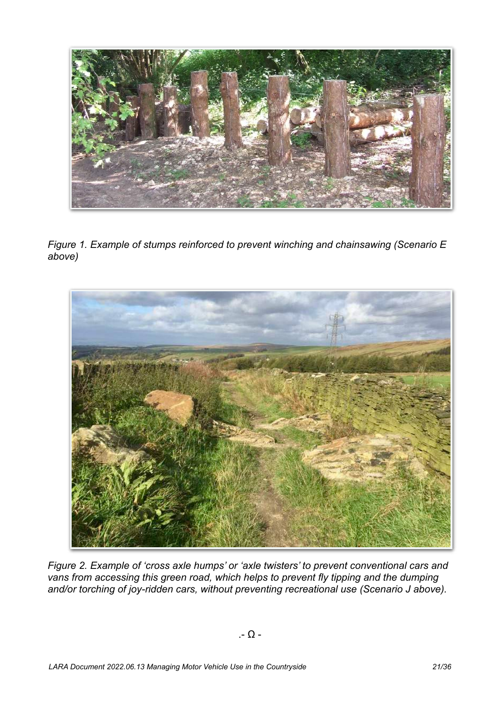

*Figure 1. Example of stumps reinforced to prevent winching and chainsawing (Scenario E above)*

<span id="page-21-1"></span><span id="page-21-0"></span>

*Figure 2. Example of 'cross axle humps' or 'axle twisters' to prevent conventional cars and vans from accessing this green road, which helps to prevent fly tipping and the dumping and/or torching of joy-ridden cars, without preventing recreational use (Scenario J above).*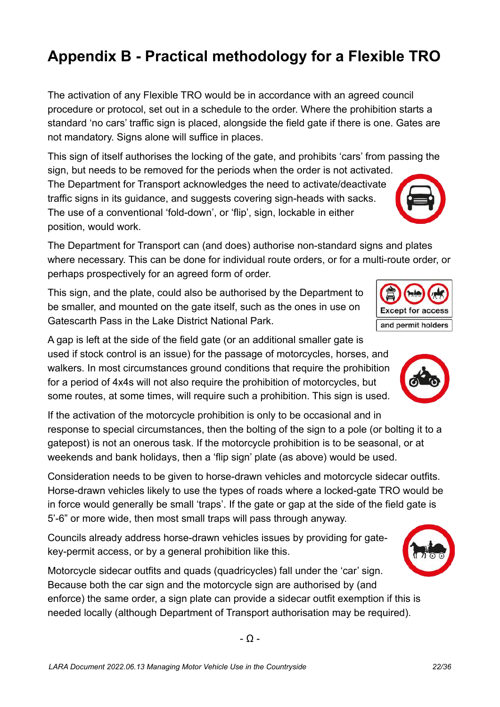# <span id="page-22-0"></span>**Appendix B - Practical methodology for a Flexible TRO**

The activation of any Flexible TRO would be in accordance with an agreed council procedure or protocol, set out in a schedule to the order. Where the prohibition starts a standard 'no cars' traffic sign is placed, alongside the field gate if there is one. Gates are not mandatory. Signs alone will suffice in places.

This sign of itself authorises the locking of the gate, and prohibits 'cars' from passing the sign, but needs to be removed for the periods when the order is not activated.

The Department for Transport acknowledges the need to activate/deactivate traffic signs in its guidance, and suggests covering sign-heads with sacks. The use of a conventional 'fold-down', or 'flip', sign, lockable in either position, would work.

The Department for Transport can (and does) authorise non-standard signs and plates where necessary. This can be done for individual route orders, or for a multi-route order, or perhaps prospectively for an agreed form of order.

This sign, and the plate, could also be authorised by the Department to be smaller, and mounted on the gate itself, such as the ones in use on Gatescarth Pass in the Lake District National Park.

A gap is left at the side of the field gate (or an additional smaller gate is used if stock control is an issue) for the passage of motorcycles, horses, and walkers. In most circumstances ground conditions that require the prohibition for a period of 4x4s will not also require the prohibition of motorcycles, but some routes, at some times, will require such a prohibition. This sign is used.

If the activation of the motorcycle prohibition is only to be occasional and in response to special circumstances, then the bolting of the sign to a pole (or bolting it to a gatepost) is not an onerous task. If the motorcycle prohibition is to be seasonal, or at weekends and bank holidays, then a 'flip sign' plate (as above) would be used.

Consideration needs to be given to horse-drawn vehicles and motorcycle sidecar outfits. Horse-drawn vehicles likely to use the types of roads where a locked-gate TRO would be in force would generally be small 'traps'. If the gate or gap at the side of the field gate is 5'-6" or more wide, then most small traps will pass through anyway.

Councils already address horse-drawn vehicles issues by providing for gatekey-permit access, or by a general prohibition like this.

Motorcycle sidecar outfits and quads (quadricycles) fall under the 'car' sign. Because both the car sign and the motorcycle sign are authorised by (and enforce) the same order, a sign plate can provide a sidecar outfit exemption if this is needed locally (although Department of Transport authorisation may be required).

- Ω -





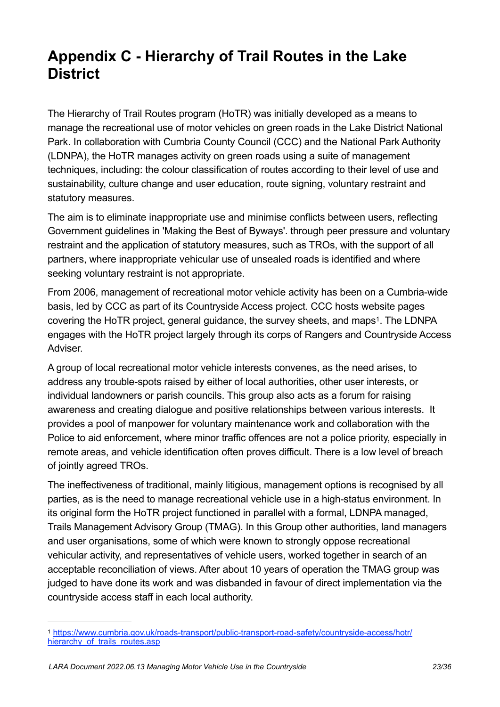# <span id="page-23-0"></span>**Appendix C - Hierarchy of Trail Routes in the Lake District**

The Hierarchy of Trail Routes program (HoTR) was initially developed as a means to manage the recreational use of motor vehicles on green roads in the Lake District National Park. In collaboration with Cumbria County Council (CCC) and the National Park Authority (LDNPA), the HoTR manages activity on green roads using a suite of management techniques, including: the colour classification of routes according to their level of use and sustainability, culture change and user education, route signing, voluntary restraint and statutory measures.

The aim is to eliminate inappropriate use and minimise conflicts between users, reflecting Government guidelines in 'Making the Best of Byways'. through peer pressure and voluntary restraint and the application of statutory measures, such as TROs, with the support of all partners, where inappropriate vehicular use of unsealed roads is identified and where seeking voluntary restraint is not appropriate.

<span id="page-23-2"></span>From 2006, management of recreational motor vehicle activity has been on a Cumbria-wide basis, led by CCC as part of its Countryside Access project. CCC hosts website pages covering the HoTR project, general guidance, the survey sheets, and maps<sup>[1](#page-23-1)</sup>. The LDNPA engages with the HoTR project largely through its corps of Rangers and Countryside Access Adviser.

A group of local recreational motor vehicle interests convenes, as the need arises, to address any trouble-spots raised by either of local authorities, other user interests, or individual landowners or parish councils. This group also acts as a forum for raising awareness and creating dialogue and positive relationships between various interests. It provides a pool of manpower for voluntary maintenance work and collaboration with the Police to aid enforcement, where minor traffic offences are not a police priority, especially in remote areas, and vehicle identification often proves difficult. There is a low level of breach of jointly agreed TROs.

The ineffectiveness of traditional, mainly litigious, management options is recognised by all parties, as is the need to manage recreational vehicle use in a high-status environment. In its original form the HoTR project functioned in parallel with a formal, LDNPA managed, Trails Management Advisory Group (TMAG). In this Group other authorities, land managers and user organisations, some of which were known to strongly oppose recreational vehicular activity, and representatives of vehicle users, worked together in search of an acceptable reconciliation of views. After about 10 years of operation the TMAG group was judged to have done its work and was disbanded in favour of direct implementation via the countryside access staff in each local authority.

<span id="page-23-1"></span>[https://www.cumbria.gov.uk/roads-transport/public-transport-road-safety/countryside-access/hotr/](https://www.cumbria.gov.uk/roads-transport/public-transport-road-safety/countryside-access/hotr/hierarchy_of_trails_routes.asp) [1](#page-23-2) hierarchy of trails routes.asp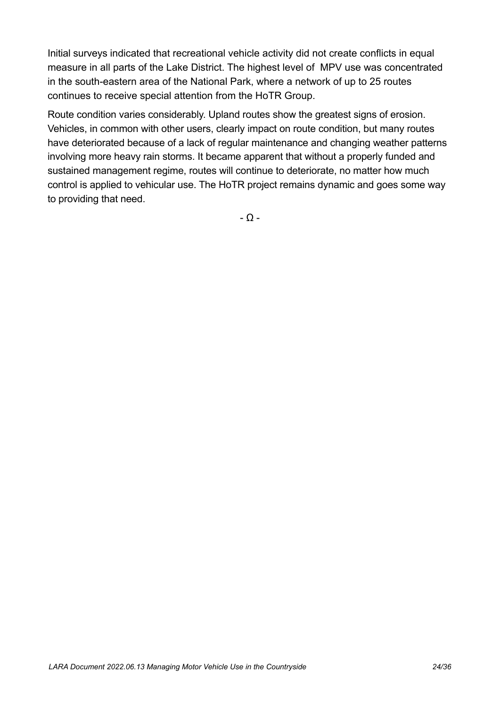Initial surveys indicated that recreational vehicle activity did not create conflicts in equal measure in all parts of the Lake District. The highest level of MPV use was concentrated in the south-eastern area of the National Park, where a network of up to 25 routes continues to receive special attention from the HoTR Group.

Route condition varies considerably. Upland routes show the greatest signs of erosion. Vehicles, in common with other users, clearly impact on route condition, but many routes have deteriorated because of a lack of regular maintenance and changing weather patterns involving more heavy rain storms. It became apparent that without a properly funded and sustained management regime, routes will continue to deteriorate, no matter how much control is applied to vehicular use. The HoTR project remains dynamic and goes some way to providing that need.

- Ω -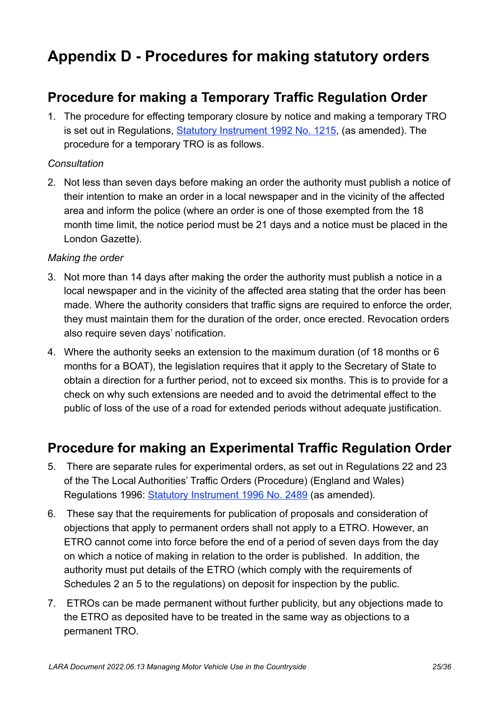# <span id="page-25-0"></span>**Appendix D - Procedures for making statutory orders**

## <span id="page-25-1"></span>**Procedure for making a Temporary Traffic Regulation Order**

1. The procedure for effecting temporary closure by notice and making a temporary TRO is set out in Regulations, **Statutory Instrument 1992 No. 1215**, (as amended). The procedure for a temporary TRO is as follows.

#### *Consultation*

2. Not less than seven days before making an order the authority must publish a notice of their intention to make an order in a local newspaper and in the vicinity of the affected area and inform the police (where an order is one of those exempted from the 18 month time limit, the notice period must be 21 days and a notice must be placed in the London Gazette).

#### *Making the order*

- 3. Not more than 14 days after making the order the authority must publish a notice in a local newspaper and in the vicinity of the affected area stating that the order has been made. Where the authority considers that traffic signs are required to enforce the order, they must maintain them for the duration of the order, once erected. Revocation orders also require seven days' notification.
- 4. Where the authority seeks an extension to the maximum duration (of 18 months or 6 months for a BOAT), the legislation requires that it apply to the Secretary of State to obtain a direction for a further period, not to exceed six months. This is to provide for a check on why such extensions are needed and to avoid the detrimental effect to the public of loss of the use of a road for extended periods without adequate justification.

## <span id="page-25-2"></span>**Procedure for making an Experimental Traffic Regulation Order**

- 5. There are separate rules for experimental orders, as set out in Regulations 22 and 23 of the The Local Authorities' Traffic Orders (Procedure) (England and Wales) Regulations 1996: [Statutory Instrument 1996 No. 2489](https://www.legislation.gov.uk/uksi/1996/2489/contents) (as amended).
- 6. These say that the requirements for publication of proposals and consideration of objections that apply to permanent orders shall not apply to a ETRO. However, an ETRO cannot come into force before the end of a period of seven days from the day on which a notice of making in relation to the order is published. In addition, the authority must put details of the ETRO (which comply with the requirements of Schedules 2 an 5 to the regulations) on deposit for inspection by the public.
- 7. ETROs can be made permanent without further publicity, but any objections made to the ETRO as deposited have to be treated in the same way as objections to a permanent TRO.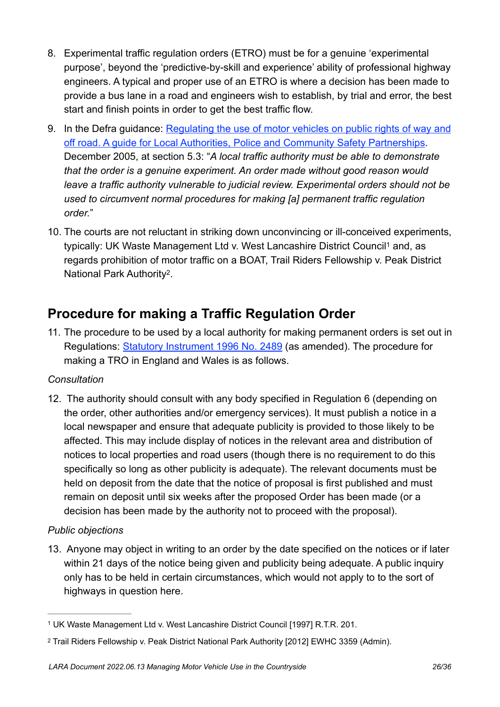- 8. Experimental traffic regulation orders (ETRO) must be for a genuine 'experimental purpose', beyond the 'predictive-by-skill and experience' ability of professional highway engineers. A typical and proper use of an ETRO is where a decision has been made to provide a bus lane in a road and engineers wish to establish, by trial and error, the best start and finish points in order to get the best traffic flow.
- 9. In the Defra guidance: [Regulating the use of motor vehicles on public rights of way and](https://laragb.org/pdf/DEFRA_200512_RegulatingMPVonPROW.pdf)  [off road. A guide for Local Authorities, Police and Community Safety Partnerships.](https://laragb.org/pdf/DEFRA_200512_RegulatingMPVonPROW.pdf)  December 2005, at section 5.3: "*A local traffic authority must be able to demonstrate that the order is a genuine experiment. An order made without good reason would leave a traffic authority vulnerable to judicial review. Experimental orders should not be used to circumvent normal procedures for making [a] permanent traffic regulation order.*"
- <span id="page-26-4"></span><span id="page-26-3"></span>10. The courts are not reluctant in striking down unconvincing or ill-conceived experiments, typically: UK Waste Management Ltd v. West Lancashire District Council<sup>[1](#page-26-1)</sup> and, as regards prohibition of motor traffic on a BOAT, Trail Riders Fellowship v. Peak District National Park Authority<sup>[2](#page-26-2)</sup>.

## <span id="page-26-0"></span>**Procedure for making a Traffic Regulation Order**

11. The procedure to be used by a local authority for making permanent orders is set out in Regulations: [Statutory Instrument 1996 No. 2489](https://www.legislation.gov.uk/uksi/1996/2489/contents) (as amended). The procedure for making a TRO in England and Wales is as follows.

#### *Consultation*

12. The authority should consult with any body specified in Regulation 6 (depending on the order, other authorities and/or emergency services). It must publish a notice in a local newspaper and ensure that adequate publicity is provided to those likely to be affected. This may include display of notices in the relevant area and distribution of notices to local properties and road users (though there is no requirement to do this specifically so long as other publicity is adequate). The relevant documents must be held on deposit from the date that the notice of proposal is first published and must remain on deposit until six weeks after the proposed Order has been made (or a decision has been made by the authority not to proceed with the proposal).

#### *Public objections*

13. Anyone may object in writing to an order by the date specified on the notices or if later within 21 days of the notice being given and publicity being adequate. A public inquiry only has to be held in certain circumstances, which would not apply to to the sort of highways in question here.

<span id="page-26-1"></span>UK Waste Management Ltd v. West Lancashire District Council [1997] R.T.R. 201. [1](#page-26-3)

<span id="page-26-2"></span><sup>&</sup>lt;sup>[2](#page-26-4)</sup> Trail Riders Fellowship v. Peak District National Park Authority [2012] EWHC 3359 (Admin).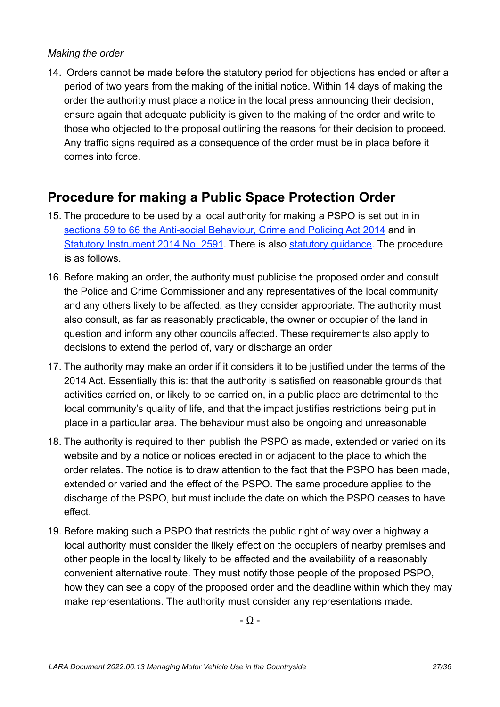#### *Making the order*

14. Orders cannot be made before the statutory period for objections has ended or after a period of two years from the making of the initial notice. Within 14 days of making the order the authority must place a notice in the local press announcing their decision, ensure again that adequate publicity is given to the making of the order and write to those who objected to the proposal outlining the reasons for their decision to proceed. Any traffic signs required as a consequence of the order must be in place before it comes into force.

## <span id="page-27-0"></span>**Procedure for making a Public Space Protection Order**

- 15. The procedure to be used by a local authority for making a PSPO is set out in in [sections 59 to 66 the Anti-social Behaviour, Crime and Policing Act 2014](https://www.legislation.gov.uk/ukpga/2014/12/section/59) and in [Statutory Instrument 2014 No. 2591](https://www.legislation.gov.uk/uksi/2014/2591/regulation/2/made). There is also [statutory guidance.](https://assets.publishing.service.gov.uk/government/uploads/system/uploads/attachment_data/file/956143/ASB_Statutory_Guidance.pdf) The procedure is as follows.
- 16. Before making an order, the authority must publicise the proposed order and consult the Police and Crime Commissioner and any representatives of the local community and any others likely to be affected, as they consider appropriate. The authority must also consult, as far as reasonably practicable, the owner or occupier of the land in question and inform any other councils affected. These requirements also apply to decisions to extend the period of, vary or discharge an order
- 17. The authority may make an order if it considers it to be justified under the terms of the 2014 Act. Essentially this is: that the authority is satisfied on reasonable grounds that activities carried on, or likely to be carried on, in a public place are detrimental to the local community's quality of life, and that the impact justifies restrictions being put in place in a particular area. The behaviour must also be ongoing and unreasonable
- 18. The authority is required to then publish the PSPO as made, extended or varied on its website and by a notice or notices erected in or adjacent to the place to which the order relates. The notice is to draw attention to the fact that the PSPO has been made, extended or varied and the effect of the PSPO. The same procedure applies to the discharge of the PSPO, but must include the date on which the PSPO ceases to have effect.
- 19. Before making such a PSPO that restricts the public right of way over a highway a local authority must consider the likely effect on the occupiers of nearby premises and other people in the locality likely to be affected and the availability of a reasonably convenient alternative route. They must notify those people of the proposed PSPO, how they can see a copy of the proposed order and the deadline within which they may make representations. The authority must consider any representations made.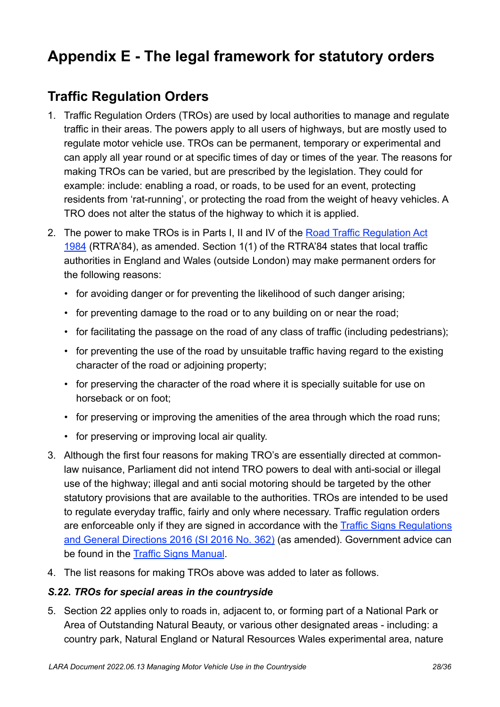# <span id="page-28-0"></span>**Appendix E - The legal framework for statutory orders**

## <span id="page-28-1"></span>**Traffic Regulation Orders**

- 1. Traffic Regulation Orders (TROs) are used by local authorities to manage and regulate traffic in their areas. The powers apply to all users of highways, but are mostly used to regulate motor vehicle use. TROs can be permanent, temporary or experimental and can apply all year round or at specific times of day or times of the year. The reasons for making TROs can be varied, but are prescribed by the legislation. They could for example: include: enabling a road, or roads, to be used for an event, protecting residents from 'rat-running', or protecting the road from the weight of heavy vehicles. A TRO does not alter the status of the highway to which it is applied.
- 2. The power to make TROs is in Parts I, II and IV of the Road Traffic Regulation Act [1984](https://www.legislation.gov.uk/ukpga/1984/27/contents) (RTRA'84), as amended. Section 1(1) of the RTRA'84 states that local traffic authorities in England and Wales (outside London) may make permanent orders for the following reasons:
	- for avoiding danger or for preventing the likelihood of such danger arising;
	- for preventing damage to the road or to any building on or near the road;
	- for facilitating the passage on the road of any class of traffic (including pedestrians);
	- for preventing the use of the road by unsuitable traffic having regard to the existing character of the road or adjoining property;
	- for preserving the character of the road where it is specially suitable for use on horseback or on foot;
	- for preserving or improving the amenities of the area through which the road runs;
	- for preserving or improving local air quality.
- 3. Although the first four reasons for making TRO's are essentially directed at commonlaw nuisance, Parliament did not intend TRO powers to deal with anti-social or illegal use of the highway; illegal and anti social motoring should be targeted by the other statutory provisions that are available to the authorities. TROs are intended to be used to regulate everyday traffic, fairly and only where necessary. Traffic regulation orders are enforceable only if they are signed in accordance with the Traffic Signs Regulations [and General Directions 2016 \(SI 2016 No. 362\)](https://www.legislation.gov.uk/uksi/2016/362/contents/made) (as amended). Government advice can be found in the [Traffic Signs Manual](https://www.gov.uk/government/publications/traffic-signs-manual).
- 4. The list reasons for making TROs above was added to later as follows.

#### *S.22. TROs for special areas in the countryside*

5. Section 22 applies only to roads in, adjacent to, or forming part of a National Park or Area of Outstanding Natural Beauty, or various other designated areas - including: a country park, Natural England or Natural Resources Wales experimental area, nature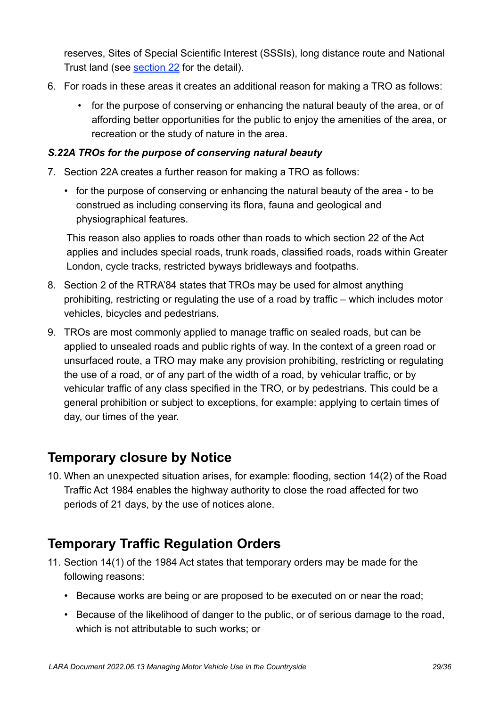reserves, Sites of Special Scientific Interest (SSSIs), long distance route and National Trust land (see [section 22](https://www.legislation.gov.uk/ukpga/1984/27/section/22) for the detail).

- 6. For roads in these areas it creates an additional reason for making a TRO as follows:
	- for the purpose of conserving or enhancing the natural beauty of the area, or of affording better opportunities for the public to enjoy the amenities of the area, or recreation or the study of nature in the area.

#### *S.22A TROs for the purpose of conserving natural beauty*

- 7. Section 22A creates a further reason for making a TRO as follows:
	- for the purpose of conserving or enhancing the natural beauty of the area to be construed as including conserving its flora, fauna and geological and physiographical features.

This reason also applies to roads other than roads to which section 22 of the Act applies and includes special roads, trunk roads, classified roads, roads within Greater London, cycle tracks, restricted byways bridleways and footpaths.

- 8. Section 2 of the RTRA'84 states that TROs may be used for almost anything prohibiting, restricting or regulating the use of a road by traffic – which includes motor vehicles, bicycles and pedestrians.
- 9. TROs are most commonly applied to manage traffic on sealed roads, but can be applied to unsealed roads and public rights of way. In the context of a green road or unsurfaced route, a TRO may make any provision prohibiting, restricting or regulating the use of a road, or of any part of the width of a road, by vehicular traffic, or by vehicular traffic of any class specified in the TRO, or by pedestrians. This could be a general prohibition or subject to exceptions, for example: applying to certain times of day, our times of the year.

## <span id="page-29-0"></span>**Temporary closure by Notice**

10. When an unexpected situation arises, for example: flooding, section 14(2) of the Road Traffic Act 1984 enables the highway authority to close the road affected for two periods of 21 days, by the use of notices alone.

## <span id="page-29-1"></span>**Temporary Traffic Regulation Orders**

- 11. Section 14(1) of the 1984 Act states that temporary orders may be made for the following reasons:
	- Because works are being or are proposed to be executed on or near the road;
	- Because of the likelihood of danger to the public, or of serious damage to the road, which is not attributable to such works; or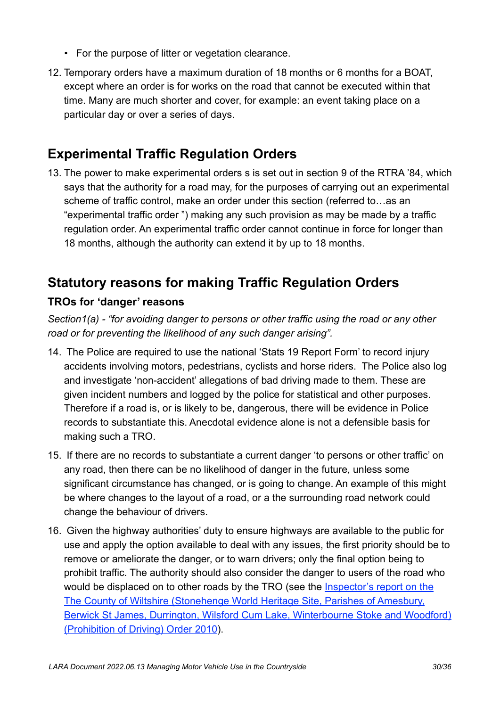- For the purpose of litter or vegetation clearance.
- 12. Temporary orders have a maximum duration of 18 months or 6 months for a BOAT, except where an order is for works on the road that cannot be executed within that time. Many are much shorter and cover, for example: an event taking place on a particular day or over a series of days.

## <span id="page-30-0"></span>**Experimental Traffic Regulation Orders**

13. The power to make experimental orders s is set out in section 9 of the RTRA '84, which says that the authority for a road may, for the purposes of carrying out an experimental scheme of traffic control, make an order under this section (referred to…as an "experimental traffic order ") making any such provision as may be made by a traffic regulation order. An experimental traffic order cannot continue in force for longer than 18 months, although the authority can extend it by up to 18 months.

## <span id="page-30-1"></span>**Statutory reasons for making Traffic Regulation Orders**

## **TROs for 'danger' reasons**

*Section1(a) - "for avoiding danger to persons or other traffic using the road or any other road or for preventing the likelihood of any such danger arising".*

- 14. The Police are required to use the national 'Stats 19 Report Form' to record injury accidents involving motors, pedestrians, cyclists and horse riders. The Police also log and investigate 'non-accident' allegations of bad driving made to them. These are given incident numbers and logged by the police for statistical and other purposes. Therefore if a road is, or is likely to be, dangerous, there will be evidence in Police records to substantiate this. Anecdotal evidence alone is not a defensible basis for making such a TRO.
- 15. If there are no records to substantiate a current danger 'to persons or other traffic' on any road, then there can be no likelihood of danger in the future, unless some significant circumstance has changed, or is going to change. An example of this might be where changes to the layout of a road, or a the surrounding road network could change the behaviour of drivers.
- 16. Given the highway authorities' duty to ensure highways are available to the public for use and apply the option available to deal with any issues, the first priority should be to remove or ameliorate the danger, or to warn drivers; only the final option being to prohibit traffic. The authority should also consider the danger to users of the road who would be displaced on to other roads by the TRO (see the [Inspector's report on the](https://laragb.org/pdf/PINS_2011116_StonehengeOrder2010.pdf)  [The County of Wiltshire \(Stonehenge World Heritage Site, Parishes of Amesbury,](https://laragb.org/pdf/PINS_2011116_StonehengeOrder2010.pdf)  [Berwick St James, Durrington, Wilsford Cum Lake, Winterbourne Stoke and Woodford\)](https://laragb.org/pdf/PINS_2011116_StonehengeOrder2010.pdf)  [\(Prohibition of Driving\) Order 2010\)](https://laragb.org/pdf/PINS_2011116_StonehengeOrder2010.pdf).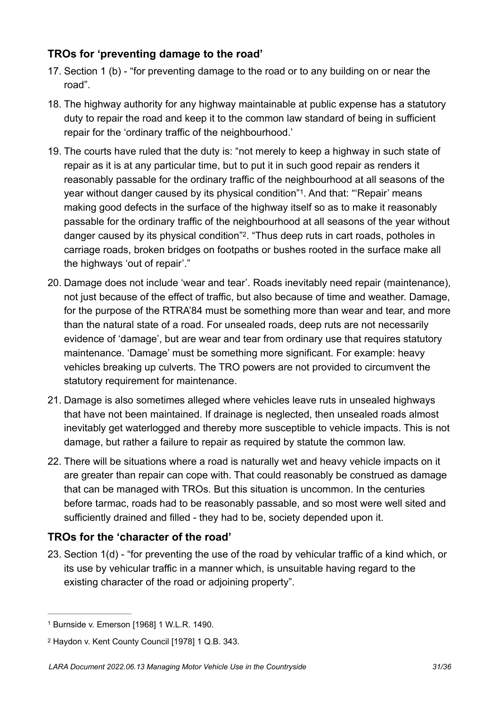### **TROs for 'preventing damage to the road'**

- 17. Section 1 (b) "for preventing damage to the road or to any building on or near the road".
- 18. The highway authority for any highway maintainable at public expense has a statutory duty to repair the road and keep it to the common law standard of being in sufficient repair for the 'ordinary traffic of the neighbourhood.'
- <span id="page-31-2"></span>19. The courts have ruled that the duty is: "not merely to keep a highway in such state of repair as it is at any particular time, but to put it in such good repair as renders it reasonably passable for the ordinary traffic of the neighbourhood at all seasons of the year without danger caused by its physical condition"<sup>[1](#page-31-0)</sup>. And that: "Repair' means making good defects in the surface of the highway itself so as to make it reasonably passable for the ordinary traffic of the neighbourhood at all seasons of the year without danger caused by its physical condition"<sup>[2](#page-31-1)</sup>. "Thus deep ruts in cart roads, potholes in carriage roads, broken bridges on footpaths or bushes rooted in the surface make all the highways 'out of repair'."
- <span id="page-31-3"></span>20. Damage does not include 'wear and tear'. Roads inevitably need repair (maintenance), not just because of the effect of traffic, but also because of time and weather. Damage, for the purpose of the RTRA'84 must be something more than wear and tear, and more than the natural state of a road. For unsealed roads, deep ruts are not necessarily evidence of 'damage', but are wear and tear from ordinary use that requires statutory maintenance. 'Damage' must be something more significant. For example: heavy vehicles breaking up culverts. The TRO powers are not provided to circumvent the statutory requirement for maintenance.
- 21. Damage is also sometimes alleged where vehicles leave ruts in unsealed highways that have not been maintained. If drainage is neglected, then unsealed roads almost inevitably get waterlogged and thereby more susceptible to vehicle impacts. This is not damage, but rather a failure to repair as required by statute the common law.
- 22. There will be situations where a road is naturally wet and heavy vehicle impacts on it are greater than repair can cope with. That could reasonably be construed as damage that can be managed with TROs. But this situation is uncommon. In the centuries before tarmac, roads had to be reasonably passable, and so most were well sited and sufficiently drained and filled - they had to be, society depended upon it.

#### **TROs for the 'character of the road'**

23. Section 1(d) - "for preventing the use of the road by vehicular traffic of a kind which, or its use by vehicular traffic in a manner which, is unsuitable having regard to the existing character of the road or adjoining property".

<span id="page-31-0"></span><sup>&</sup>lt;sup>[1](#page-31-2)</sup> Burnside v. Emerson [1968] 1 W.L.R. 1490.

<span id="page-31-1"></span><sup>&</sup>lt;sup>[2](#page-31-3)</sup> Haydon v. Kent County Council [1978] 1 Q.B. 343.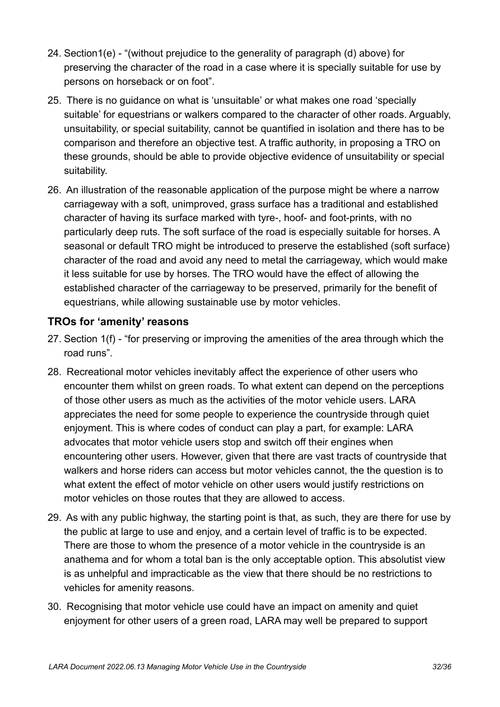- 24. Section1(e) "(without prejudice to the generality of paragraph (d) above) for preserving the character of the road in a case where it is specially suitable for use by persons on horseback or on foot".
- 25. There is no guidance on what is 'unsuitable' or what makes one road 'specially suitable' for equestrians or walkers compared to the character of other roads. Arguably, unsuitability, or special suitability, cannot be quantified in isolation and there has to be comparison and therefore an objective test. A traffic authority, in proposing a TRO on these grounds, should be able to provide objective evidence of unsuitability or special suitability.
- 26. An illustration of the reasonable application of the purpose might be where a narrow carriageway with a soft, unimproved, grass surface has a traditional and established character of having its surface marked with tyre-, hoof- and foot-prints, with no particularly deep ruts. The soft surface of the road is especially suitable for horses. A seasonal or default TRO might be introduced to preserve the established (soft surface) character of the road and avoid any need to metal the carriageway, which would make it less suitable for use by horses. The TRO would have the effect of allowing the established character of the carriageway to be preserved, primarily for the benefit of equestrians, while allowing sustainable use by motor vehicles.

### **TROs for 'amenity' reasons**

- 27. Section 1(f) "for preserving or improving the amenities of the area through which the road runs".
- 28. Recreational motor vehicles inevitably affect the experience of other users who encounter them whilst on green roads. To what extent can depend on the perceptions of those other users as much as the activities of the motor vehicle users. LARA appreciates the need for some people to experience the countryside through quiet enjoyment. This is where codes of conduct can play a part, for example: LARA advocates that motor vehicle users stop and switch off their engines when encountering other users. However, given that there are vast tracts of countryside that walkers and horse riders can access but motor vehicles cannot, the the question is to what extent the effect of motor vehicle on other users would justify restrictions on motor vehicles on those routes that they are allowed to access.
- 29. As with any public highway, the starting point is that, as such, they are there for use by the public at large to use and enjoy, and a certain level of traffic is to be expected. There are those to whom the presence of a motor vehicle in the countryside is an anathema and for whom a total ban is the only acceptable option. This absolutist view is as unhelpful and impracticable as the view that there should be no restrictions to vehicles for amenity reasons.
- 30. Recognising that motor vehicle use could have an impact on amenity and quiet enjoyment for other users of a green road, LARA may well be prepared to support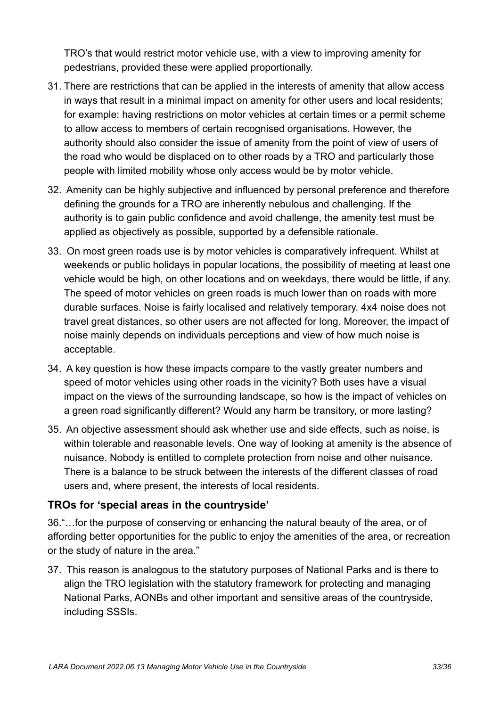TRO's that would restrict motor vehicle use, with a view to improving amenity for pedestrians, provided these were applied proportionally.

- 31. There are restrictions that can be applied in the interests of amenity that allow access in ways that result in a minimal impact on amenity for other users and local residents; for example: having restrictions on motor vehicles at certain times or a permit scheme to allow access to members of certain recognised organisations. However, the authority should also consider the issue of amenity from the point of view of users of the road who would be displaced on to other roads by a TRO and particularly those people with limited mobility whose only access would be by motor vehicle.
- 32. Amenity can be highly subjective and influenced by personal preference and therefore defining the grounds for a TRO are inherently nebulous and challenging. If the authority is to gain public confidence and avoid challenge, the amenity test must be applied as objectively as possible, supported by a defensible rationale.
- 33. On most green roads use is by motor vehicles is comparatively infrequent. Whilst at weekends or public holidays in popular locations, the possibility of meeting at least one vehicle would be high, on other locations and on weekdays, there would be little, if any. The speed of motor vehicles on green roads is much lower than on roads with more durable surfaces. Noise is fairly localised and relatively temporary. 4x4 noise does not travel great distances, so other users are not affected for long. Moreover, the impact of noise mainly depends on individuals perceptions and view of how much noise is acceptable.
- 34. A key question is how these impacts compare to the vastly greater numbers and speed of motor vehicles using other roads in the vicinity? Both uses have a visual impact on the views of the surrounding landscape, so how is the impact of vehicles on a green road significantly different? Would any harm be transitory, or more lasting?
- 35. An objective assessment should ask whether use and side effects, such as noise, is within tolerable and reasonable levels. One way of looking at amenity is the absence of nuisance. Nobody is entitled to complete protection from noise and other nuisance. There is a balance to be struck between the interests of the different classes of road users and, where present, the interests of local residents.

#### **TROs for 'special areas in the countryside'**

36."…for the purpose of conserving or enhancing the natural beauty of the area, or of affording better opportunities for the public to enjoy the amenities of the area, or recreation or the study of nature in the area."

37. This reason is analogous to the statutory purposes of National Parks and is there to align the TRO legislation with the statutory framework for protecting and managing National Parks, AONBs and other important and sensitive areas of the countryside, including SSSIs.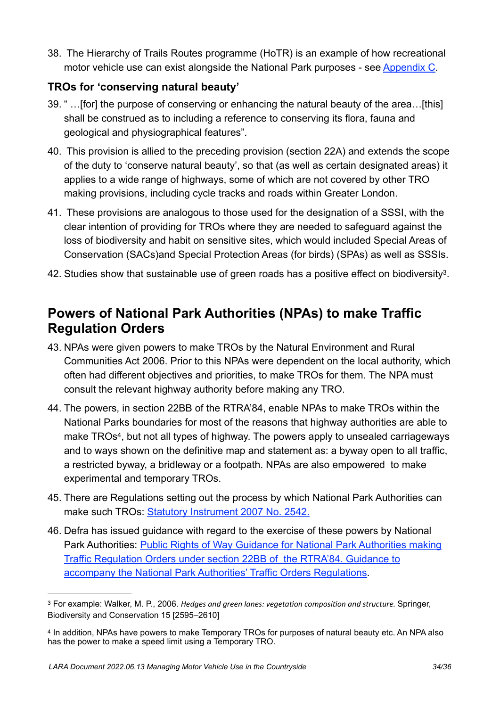38. The Hierarchy of Trails Routes programme (HoTR) is an example of how recreational motor vehicle use can exist alongside the National Park purposes - see [Appendix C](#page-23-0).

## **TROs for 'conserving natural beauty'**

- 39. " …[for] the purpose of conserving or enhancing the natural beauty of the area…[this] shall be construed as to including a reference to conserving its flora, fauna and geological and physiographical features".
- 40. This provision is allied to the preceding provision (section 22A) and extends the scope of the duty to 'conserve natural beauty', so that (as well as certain designated areas) it applies to a wide range of highways, some of which are not covered by other TRO making provisions, including cycle tracks and roads within Greater London.
- 41. These provisions are analogous to those used for the designation of a SSSI, with the clear intention of providing for TROs where they are needed to safeguard against the loss of biodiversity and habit on sensitive sites, which would included Special Areas of Conservation (SACs)and Special Protection Areas (for birds) (SPAs) as well as SSSIs.
- <span id="page-34-3"></span>42. Studies show that sustainable use of green roads has a positive effect on biodiversity<sup>[3](#page-34-1)</sup>.

## <span id="page-34-0"></span>**Powers of National Park Authorities (NPAs) to make Traffic Regulation Orders**

- 43. NPAs were given powers to make TROs by the Natural Environment and Rural Communities Act 2006. Prior to this NPAs were dependent on the local authority, which often had different objectives and priorities, to make TROs for them. The NPA must consult the relevant highway authority before making any TRO.
- <span id="page-34-4"></span>44. The powers, in section 22BB of the RTRA'84, enable NPAs to make TROs within the National Parks boundaries for most of the reasons that highway authorities are able to make TROs<sup>[4](#page-34-2)</sup>, but not all types of highway. The powers apply to unsealed carriageways and to ways shown on the definitive map and statement as: a byway open to all traffic, a restricted byway, a bridleway or a footpath. NPAs are also empowered to make experimental and temporary TROs.
- 45. There are Regulations setting out the process by which National Park Authorities can make such TROs: [Statutory Instrument 2007 No. 2542](https://www.legislation.gov.uk/uksi/2007/2542/contents).
- 46. Defra has issued guidance with regard to the exercise of these powers by National Park Authorities: [Public Rights of Way Guidance for National Park Authorities making](https://laragb.org/pdf/DEFRA_200709_GuidanceForNPAsOnTROs.pdf)  [Traffic Regulation Orders under section 22BB of the RTRA'84. Guidance to](https://laragb.org/pdf/DEFRA_200709_GuidanceForNPAsOnTROs.pdf)  [accompany the National Park Authorities' Traffic Orders Regulations](https://laragb.org/pdf/DEFRA_200709_GuidanceForNPAsOnTROs.pdf).

<span id="page-34-1"></span>For example: Walker, M. P., 2006. *Hedges and green lanes: vegetation composition and structure.* Springer, [3](#page-34-3) Biodiversity and Conservation 15 [2595–2610]

<span id="page-34-2"></span><sup>&</sup>lt;sup>[4](#page-34-4)</sup> In addition, NPAs have powers to make Temporary TROs for purposes of natural beauty etc. An NPA also has the power to make a speed limit using a Temporary TRO.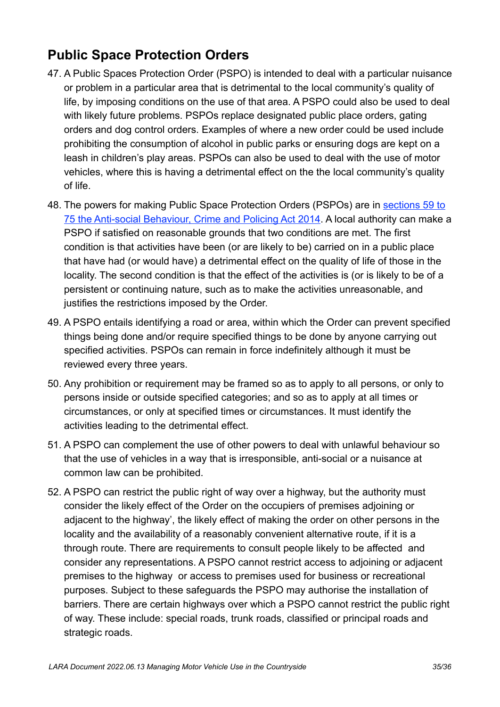## <span id="page-35-0"></span>**Public Space Protection Orders**

- 47. A Public Spaces Protection Order (PSPO) is intended to deal with a particular nuisance or problem in a particular area that is detrimental to the local community's quality of life, by imposing conditions on the use of that area. A PSPO could also be used to deal with likely future problems. PSPOs replace designated public place orders, gating orders and dog control orders. Examples of where a new order could be used include prohibiting the consumption of alcohol in public parks or ensuring dogs are kept on a leash in children's play areas. PSPOs can also be used to deal with the use of motor vehicles, where this is having a detrimental effect on the the local community's quality of life.
- 48. The powers for making Public Space Protection Orders (PSPOs) are in [sections 59 to](https://www.legislation.gov.uk/ukpga/2014/12/section/59)  [75 the Anti-social Behaviour, Crime and Policing Act 2014.](https://www.legislation.gov.uk/ukpga/2014/12/section/59) A local authority can make a PSPO if satisfied on reasonable grounds that two conditions are met. The first condition is that activities have been (or are likely to be) carried on in a public place that have had (or would have) a detrimental effect on the quality of life of those in the locality. The second condition is that the effect of the activities is (or is likely to be of a persistent or continuing nature, such as to make the activities unreasonable, and justifies the restrictions imposed by the Order.
- 49. A PSPO entails identifying a road or area, within which the Order can prevent specified things being done and/or require specified things to be done by anyone carrying out specified activities. PSPOs can remain in force indefinitely although it must be reviewed every three years.
- 50. Any prohibition or requirement may be framed so as to apply to all persons, or only to persons inside or outside specified categories; and so as to apply at all times or circumstances, or only at specified times or circumstances. It must identify the activities leading to the detrimental effect.
- 51. A PSPO can complement the use of other powers to deal with unlawful behaviour so that the use of vehicles in a way that is irresponsible, anti-social or a nuisance at common law can be prohibited.
- 52. A PSPO can restrict the public right of way over a highway, but the authority must consider the likely effect of the Order on the occupiers of premises adjoining or adjacent to the highway', the likely effect of making the order on other persons in the locality and the availability of a reasonably convenient alternative route, if it is a through route. There are requirements to consult people likely to be affected and consider any representations. A PSPO cannot restrict access to adjoining or adjacent premises to the highway or access to premises used for business or recreational purposes. Subject to these safeguards the PSPO may authorise the installation of barriers. There are certain highways over which a PSPO cannot restrict the public right of way. These include: special roads, trunk roads, classified or principal roads and strategic roads.